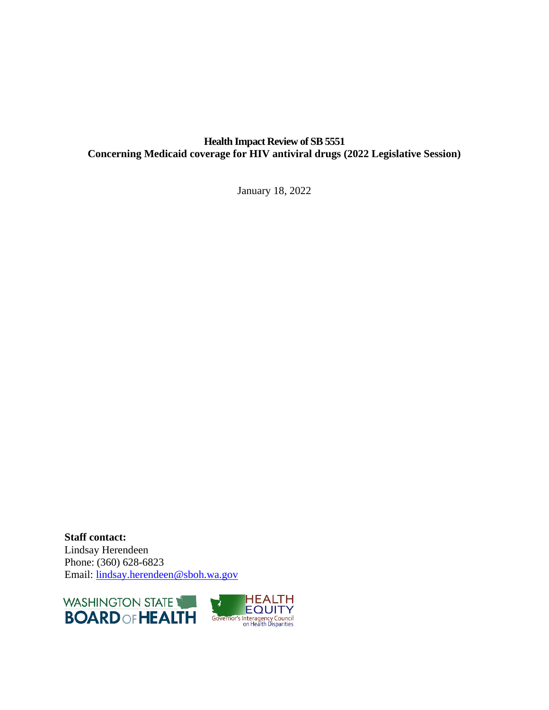# **Health Impact Review of SB 5551 Concerning Medicaid coverage for HIV antiviral drugs (2022 Legislative Session)**

January 18, 2022

**Staff contact:** Lindsay Herendeen Phone: (360) 628-6823 Email: [lindsay.herendeen@sboh.wa.gov](mailto:lindsay.herendeen@sboh.wa.gov)



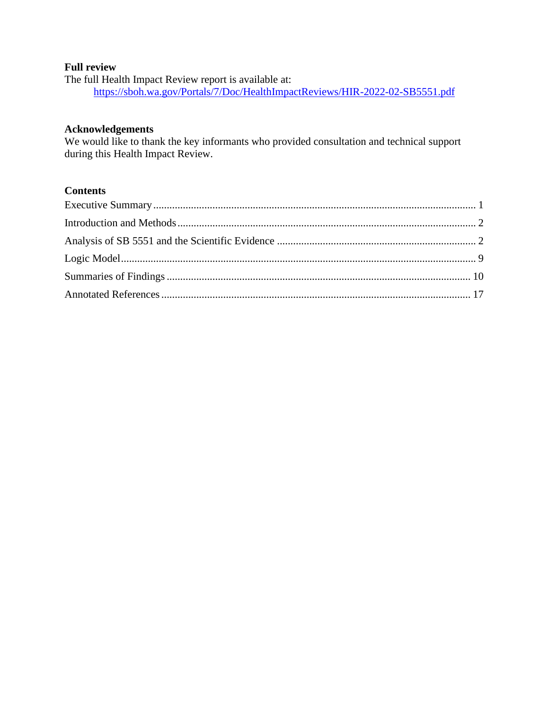# **Full review**

The full Health Impact Review report is available at: <https://sboh.wa.gov/Portals/7/Doc/HealthImpactReviews/HIR-2022-02-SB5551.pdf>

#### **Acknowledgements**

We would like to thank the key informants who provided consultation and technical support during this Health Impact Review.

#### **Contents**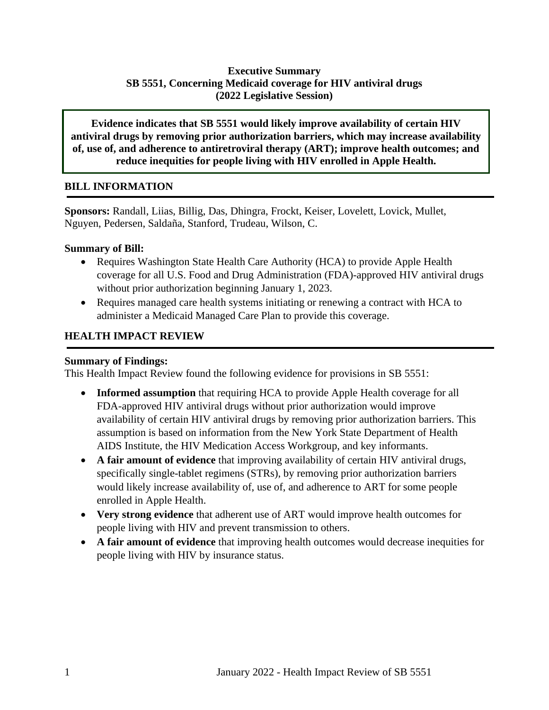# **Executive Summary SB 5551, Concerning Medicaid coverage for HIV antiviral drugs (2022 Legislative Session)**

**Evidence indicates that SB 5551 would likely improve availability of certain HIV antiviral drugs by removing prior authorization barriers, which may increase availability of, use of, and adherence to antiretroviral therapy (ART); improve health outcomes; and reduce inequities for people living with HIV enrolled in Apple Health.** 

#### **BILL INFORMATION**

**Sponsors:** Randall, Liias, Billig, Das, Dhingra, Frockt, Keiser, Lovelett, Lovick, Mullet, Nguyen, Pedersen, Saldaña, Stanford, Trudeau, Wilson, C.

#### **Summary of Bill:**

- Requires Washington State Health Care Authority (HCA) to provide Apple Health coverage for all U.S. Food and Drug Administration (FDA)-approved HIV antiviral drugs without prior authorization beginning January 1, 2023.
- Requires managed care health systems initiating or renewing a contract with HCA to administer a Medicaid Managed Care Plan to provide this coverage.

## **HEALTH IMPACT REVIEW**

#### **Summary of Findings:**

This Health Impact Review found the following evidence for provisions in SB 5551:

- **Informed assumption** that requiring HCA to provide Apple Health coverage for all FDA-approved HIV antiviral drugs without prior authorization would improve availability of certain HIV antiviral drugs by removing prior authorization barriers. This assumption is based on information from the New York State Department of Health AIDS Institute, the HIV Medication Access Workgroup, and key informants.
- **A fair amount of evidence** that improving availability of certain HIV antiviral drugs, specifically single-tablet regimens (STRs), by removing prior authorization barriers would likely increase availability of, use of, and adherence to ART for some people enrolled in Apple Health.
- **Very strong evidence** that adherent use of ART would improve health outcomes for people living with HIV and prevent transmission to others.
- <span id="page-2-0"></span>• **A fair amount of evidence** that improving health outcomes would decrease inequities for people living with HIV by insurance status.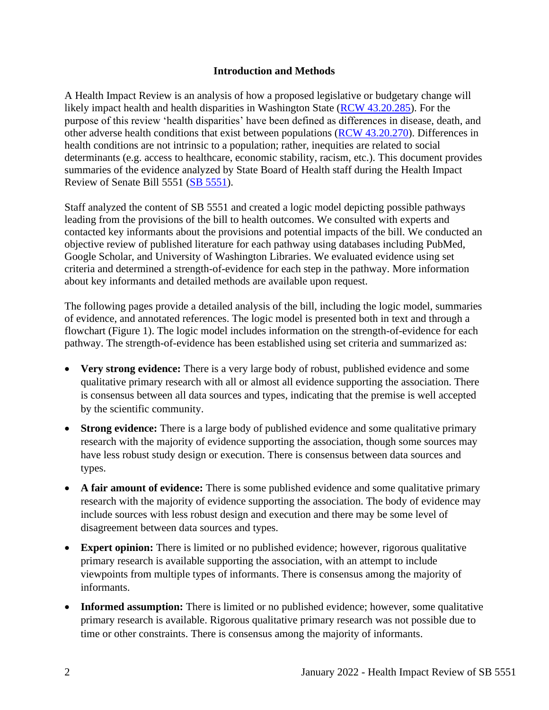#### **Introduction and Methods**

<span id="page-3-0"></span>A Health Impact Review is an analysis of how a proposed legislative or budgetary change will likely impact health and health disparities in Washington State [\(RCW 43.20.285\)](http://apps.leg.wa.gov/rcw/default.aspx?cite=43.20.285). For the purpose of this review 'health disparities' have been defined as differences in disease, death, and other adverse health conditions that exist between populations [\(RCW 43.20.270\)](http://apps.leg.wa.gov/rcw/default.aspx?cite=43.20.270). Differences in health conditions are not intrinsic to a population; rather, inequities are related to social determinants (e.g. access to healthcare, economic stability, racism, etc.). This document provides summaries of the evidence analyzed by State Board of Health staff during the Health Impact Review of Senate Bill 5551 [\(SB](https://lawfilesext.leg.wa.gov/biennium/2021-22/Pdf/Bills/House%20Bills/1412-S2.pdf?q=20211028114222) [5551\)](https://app.leg.wa.gov/billsummary?BillNumber=5551&Year=2021&Initiative=false).

Staff analyzed the content of SB 5551 and created a logic model depicting possible pathways leading from the provisions of the bill to health outcomes. We consulted with experts and contacted key informants about the provisions and potential impacts of the bill. We conducted an objective review of published literature for each pathway using databases including PubMed, Google Scholar, and University of Washington Libraries. We evaluated evidence using set criteria and determined a strength-of-evidence for each step in the pathway. More information about key informants and detailed methods are available upon request.

The following pages provide a detailed analysis of the bill, including the logic model, summaries of evidence, and annotated references. The logic model is presented both in text and through a flowchart (Figure 1). The logic model includes information on the strength-of-evidence for each pathway. The strength-of-evidence has been established using set criteria and summarized as:

- **Very strong evidence:** There is a very large body of robust, published evidence and some qualitative primary research with all or almost all evidence supporting the association. There is consensus between all data sources and types, indicating that the premise is well accepted by the scientific community.
- **Strong evidence:** There is a large body of published evidence and some qualitative primary research with the majority of evidence supporting the association, though some sources may have less robust study design or execution. There is consensus between data sources and types.
- A fair amount of evidence: There is some published evidence and some qualitative primary research with the majority of evidence supporting the association. The body of evidence may include sources with less robust design and execution and there may be some level of disagreement between data sources and types.
- **Expert opinion:** There is limited or no published evidence; however, rigorous qualitative primary research is available supporting the association, with an attempt to include viewpoints from multiple types of informants. There is consensus among the majority of informants.
- **Informed assumption:** There is limited or no published evidence; however, some qualitative primary research is available. Rigorous qualitative primary research was not possible due to time or other constraints. There is consensus among the majority of informants.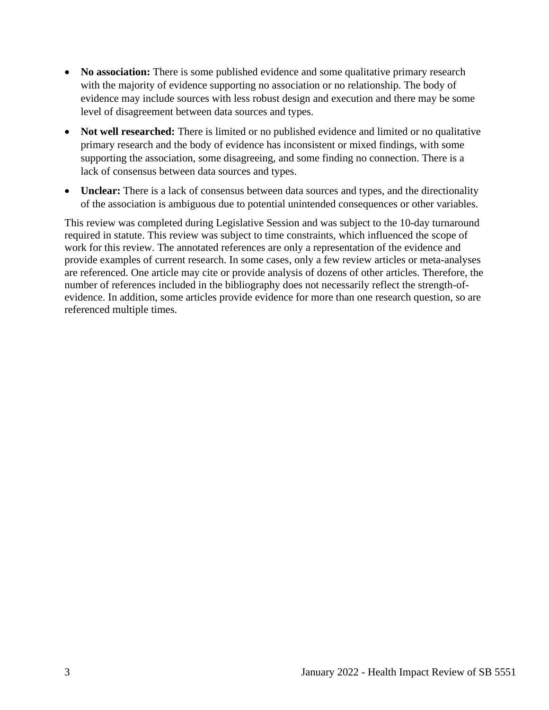- **No association:** There is some published evidence and some qualitative primary research with the majority of evidence supporting no association or no relationship. The body of evidence may include sources with less robust design and execution and there may be some level of disagreement between data sources and types.
- **Not well researched:** There is limited or no published evidence and limited or no qualitative primary research and the body of evidence has inconsistent or mixed findings, with some supporting the association, some disagreeing, and some finding no connection. There is a lack of consensus between data sources and types.
- **Unclear:** There is a lack of consensus between data sources and types, and the directionality of the association is ambiguous due to potential unintended consequences or other variables.

This review was completed during Legislative Session and was subject to the 10-day turnaround required in statute. This review was subject to time constraints, which influenced the scope of work for this review. The annotated references are only a representation of the evidence and provide examples of current research. In some cases, only a few review articles or meta-analyses are referenced. One article may cite or provide analysis of dozens of other articles. Therefore, the number of references included in the bibliography does not necessarily reflect the strength-ofevidence. In addition, some articles provide evidence for more than one research question, so are referenced multiple times.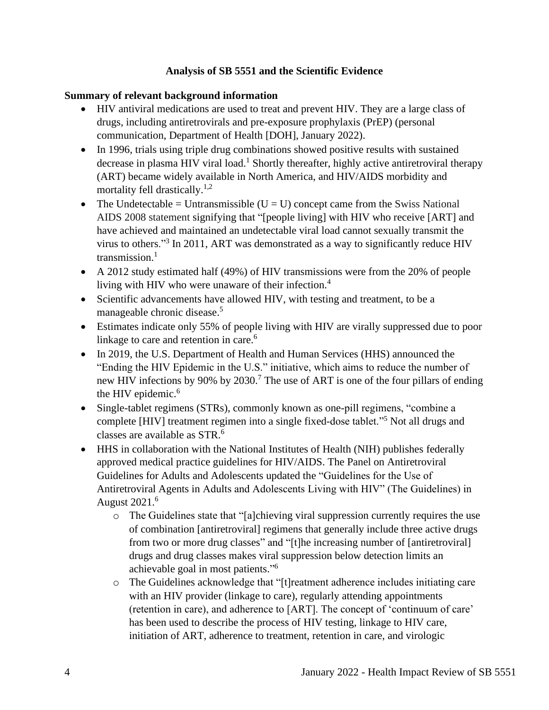## **Analysis of SB 5551 and the Scientific Evidence**

# **Summary of relevant background information**

- HIV antiviral medications are used to treat and prevent HIV. They are a large class of drugs, including antiretrovirals and pre-exposure prophylaxis (PrEP) (personal communication, Department of Health [DOH], January 2022).
- In 1996, trials using triple drug combinations showed positive results with sustained decrease in plasma HIV viral load.<sup>1</sup> Shortly thereafter, highly active antiretroviral therapy (ART) became widely available in North America, and HIV/AIDS morbidity and mortality fell drastically.<sup>1,2</sup>
- The Undetectable = Untransmissible  $(U = U)$  concept came from the Swiss National AIDS 2008 statement signifying that "[people living] with HIV who receive [ART] and have achieved and maintained an undetectable viral load cannot sexually transmit the virus to others."<sup>3</sup> In 2011, ART was demonstrated as a way to significantly reduce HIV transmission. $1$
- A 2012 study estimated half (49%) of HIV transmissions were from the 20% of people living with HIV who were unaware of their infection.<sup>4</sup>
- Scientific advancements have allowed HIV, with testing and treatment, to be a manageable chronic disease. 5
- Estimates indicate only 55% of people living with HIV are virally suppressed due to poor linkage to care and retention in care.<sup>6</sup>
- In 2019, the U.S. Department of Health and Human Services (HHS) announced the "Ending the HIV Epidemic in the U.S." initiative, which aims to reduce the number of new HIV infections by 90% by 2030.<sup>7</sup> The use of ART is one of the four pillars of ending the HIV epidemic.<sup>6</sup>
- Single-tablet regimens (STRs), commonly known as one-pill regimens, "combine a complete [HIV] treatment regimen into a single fixed-dose tablet."<sup>5</sup> Not all drugs and classes are available as STR.<sup>6</sup>
- HHS in collaboration with the National Institutes of Health (NIH) publishes federally approved medical practice guidelines for HIV/AIDS. The Panel on Antiretroviral Guidelines for Adults and Adolescents updated the "Guidelines for the Use of Antiretroviral Agents in Adults and Adolescents Living with HIV" (The Guidelines) in August 2021.<sup>6</sup>
	- o The Guidelines state that "[a]chieving viral suppression currently requires the use of combination [antiretroviral] regimens that generally include three active drugs from two or more drug classes" and "[t]he increasing number of [antiretroviral] drugs and drug classes makes viral suppression below detection limits an achievable goal in most patients." 6
	- o The Guidelines acknowledge that "[t]reatment adherence includes initiating care with an HIV provider (linkage to care), regularly attending appointments (retention in care), and adherence to [ART]. The concept of 'continuum of care' has been used to describe the process of HIV testing, linkage to HIV care, initiation of ART, adherence to treatment, retention in care, and virologic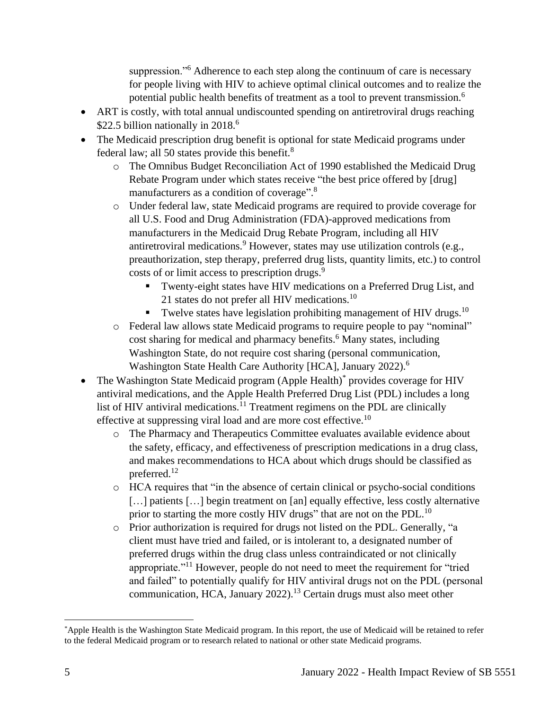suppression."<sup>6</sup> Adherence to each step along the continuum of care is necessary for people living with HIV to achieve optimal clinical outcomes and to realize the potential public health benefits of treatment as a tool to prevent transmission.<sup>6</sup>

- ART is costly, with total annual undiscounted spending on antiretroviral drugs reaching \$22.5 billion nationally in 2018.<sup>6</sup>
- The Medicaid prescription drug benefit is optional for state Medicaid programs under federal law; all 50 states provide this benefit.<sup>8</sup>
	- o The Omnibus Budget Reconciliation Act of 1990 established the Medicaid Drug Rebate Program under which states receive "the best price offered by [drug] manufacturers as a condition of coverage".<sup>8</sup>
	- o Under federal law, state Medicaid programs are required to provide coverage for all U.S. Food and Drug Administration (FDA)-approved medications from manufacturers in the Medicaid Drug Rebate Program, including all HIV antiretroviral medications.<sup>9</sup> However, states may use utilization controls (e.g., preauthorization, step therapy, preferred drug lists, quantity limits, etc.) to control costs of or limit access to prescription drugs.<sup>9</sup>
		- Twenty-eight states have HIV medications on a Preferred Drug List, and 21 states do not prefer all HIV medications.<sup>10</sup>
		- **•** Twelve states have legislation prohibiting management of HIV drugs.<sup>10</sup>
	- o Federal law allows state Medicaid programs to require people to pay "nominal" cost sharing for medical and pharmacy benefits.<sup>6</sup> Many states, including Washington State, do not require cost sharing (personal communication, Washington State Health Care Authority [HCA], January 2022).<sup>6</sup>
- The Washington State Medicaid program (Apple Health)<sup>\*</sup> provides coverage for HIV antiviral medications, and the Apple Health Preferred Drug List (PDL) includes a long list of HIV antiviral medications.<sup>11</sup> Treatment regimens on the PDL are clinically effective at suppressing viral load and are more cost effective.<sup>10</sup>
	- o The Pharmacy and Therapeutics Committee evaluates available evidence about the safety, efficacy, and effectiveness of prescription medications in a drug class, and makes recommendations to HCA about which drugs should be classified as preferred.<sup>12</sup>
	- o HCA requires that "in the absence of certain clinical or psycho-social conditions [...] patients [...] begin treatment on [an] equally effective, less costly alternative prior to starting the more costly HIV drugs" that are not on the PDL.<sup>10</sup>
	- o Prior authorization is required for drugs not listed on the PDL. Generally, "a client must have tried and failed, or is intolerant to, a designated number of preferred drugs within the drug class unless contraindicated or not clinically appropriate."<sup>11</sup> However, people do not need to meet the requirement for "tried and failed" to potentially qualify for HIV antiviral drugs not on the PDL (personal communication, HCA, January  $2022$ ).<sup>13</sup> Certain drugs must also meet other

<sup>\*</sup>Apple Health is the Washington State Medicaid program. In this report, the use of Medicaid will be retained to refer to the federal Medicaid program or to research related to national or other state Medicaid programs.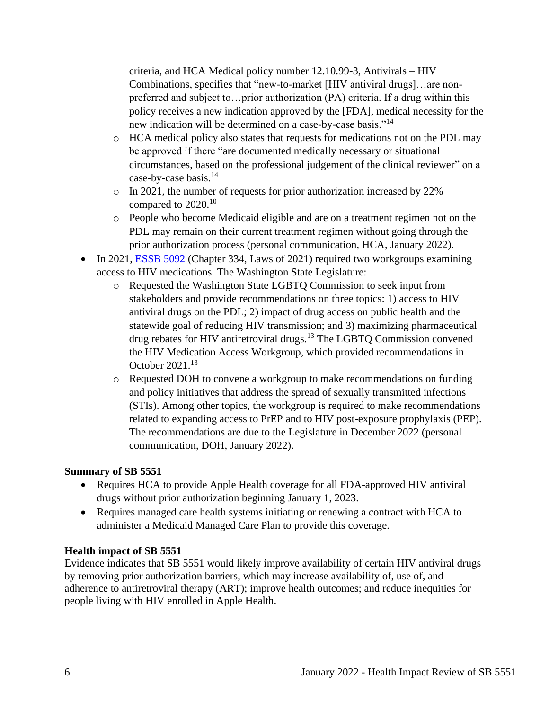criteria, and HCA Medical policy number 12.10.99-3, Antivirals – HIV Combinations, specifies that "new-to-market [HIV antiviral drugs]…are nonpreferred and subject to…prior authorization (PA) criteria. If a drug within this policy receives a new indication approved by the [FDA], medical necessity for the new indication will be determined on a case-by-case basis."<sup>14</sup>

- o HCA medical policy also states that requests for medications not on the PDL may be approved if there "are documented medically necessary or situational circumstances, based on the professional judgement of the clinical reviewer" on a case-by-case basis.<sup>14</sup>
- o In 2021, the number of requests for prior authorization increased by 22% compared to 2020.<sup>10</sup>
- o People who become Medicaid eligible and are on a treatment regimen not on the PDL may remain on their current treatment regimen without going through the prior authorization process (personal communication, HCA, January 2022).
- In 2021, [ESSB 5092](https://lawfilesext.leg.wa.gov/biennium/2021-22/Pdf/Bills/Session%20Laws/Senate/5092-S.SL.pdf?q=20220114214425) (Chapter 334, Laws of 2021) required two workgroups examining access to HIV medications. The Washington State Legislature:
	- o Requested the Washington State LGBTQ Commission to seek input from stakeholders and provide recommendations on three topics: 1) access to HIV antiviral drugs on the PDL; 2) impact of drug access on public health and the statewide goal of reducing HIV transmission; and 3) maximizing pharmaceutical drug rebates for HIV antiretroviral drugs.<sup>13</sup> The LGBTQ Commission convened the HIV Medication Access Workgroup, which provided recommendations in October 2021.<sup>13</sup>
	- o Requested DOH to convene a workgroup to make recommendations on funding and policy initiatives that address the spread of sexually transmitted infections (STIs). Among other topics, the workgroup is required to make recommendations related to expanding access to PrEP and to HIV post-exposure prophylaxis (PEP). The recommendations are due to the Legislature in December 2022 (personal communication, DOH, January 2022).

## **Summary of SB 5551**

- Requires HCA to provide Apple Health coverage for all FDA-approved HIV antiviral drugs without prior authorization beginning January 1, 2023.
- Requires managed care health systems initiating or renewing a contract with HCA to administer a Medicaid Managed Care Plan to provide this coverage.

## **Health impact of SB 5551**

Evidence indicates that SB 5551 would likely improve availability of certain HIV antiviral drugs by removing prior authorization barriers, which may increase availability of, use of, and adherence to antiretroviral therapy (ART); improve health outcomes; and reduce inequities for people living with HIV enrolled in Apple Health.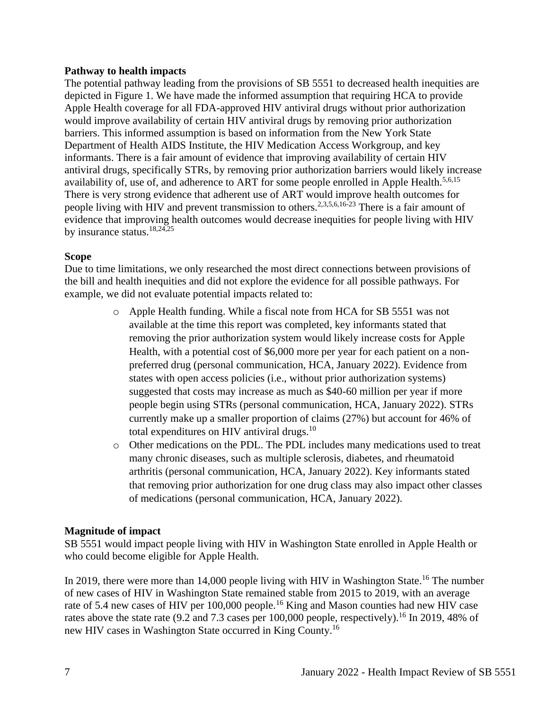#### **Pathway to health impacts**

The potential pathway leading from the provisions of SB 5551 to decreased health inequities are depicted in Figure 1. We have made the informed assumption that requiring HCA to provide Apple Health coverage for all FDA-approved HIV antiviral drugs without prior authorization would improve availability of certain HIV antiviral drugs by removing prior authorization barriers. This informed assumption is based on information from the New York State Department of Health AIDS Institute, the HIV Medication Access Workgroup, and key informants. There is a fair amount of evidence that improving availability of certain HIV antiviral drugs, specifically STRs, by removing prior authorization barriers would likely increase availability of, use of, and adherence to ART for some people enrolled in Apple Health.<sup>5,6,15</sup> There is very strong evidence that adherent use of ART would improve health outcomes for people living with HIV and prevent transmission to others.<sup>2,3,5,6,16-23</sup> There is a fair amount of evidence that improving health outcomes would decrease inequities for people living with HIV by insurance status.<sup>18,24,25</sup>

#### **Scope**

Due to time limitations, we only researched the most direct connections between provisions of the bill and health inequities and did not explore the evidence for all possible pathways. For example, we did not evaluate potential impacts related to:

- o Apple Health funding. While a fiscal note from HCA for SB 5551 was not available at the time this report was completed, key informants stated that removing the prior authorization system would likely increase costs for Apple Health, with a potential cost of \$6,000 more per year for each patient on a nonpreferred drug (personal communication, HCA, January 2022). Evidence from states with open access policies (i.e., without prior authorization systems) suggested that costs may increase as much as \$40-60 million per year if more people begin using STRs (personal communication, HCA, January 2022). STRs currently make up a smaller proportion of claims (27%) but account for 46% of total expenditures on HIV antiviral drugs.<sup>10</sup>
- o Other medications on the PDL. The PDL includes many medications used to treat many chronic diseases, such as multiple sclerosis, diabetes, and rheumatoid arthritis (personal communication, HCA, January 2022). Key informants stated that removing prior authorization for one drug class may also impact other classes of medications (personal communication, HCA, January 2022).

## **Magnitude of impact**

SB 5551 would impact people living with HIV in Washington State enrolled in Apple Health or who could become eligible for Apple Health.

In 2019, there were more than 14,000 people living with HIV in Washington State.<sup>16</sup> The number of new cases of HIV in Washington State remained stable from 2015 to 2019, with an average rate of 5.4 new cases of HIV per 100,000 people.<sup>16</sup> King and Mason counties had new HIV case rates above the state rate (9.2 and 7.3 cases per  $100,000$  people, respectively).<sup>16</sup> In 2019, 48% of new HIV cases in Washington State occurred in King County. 16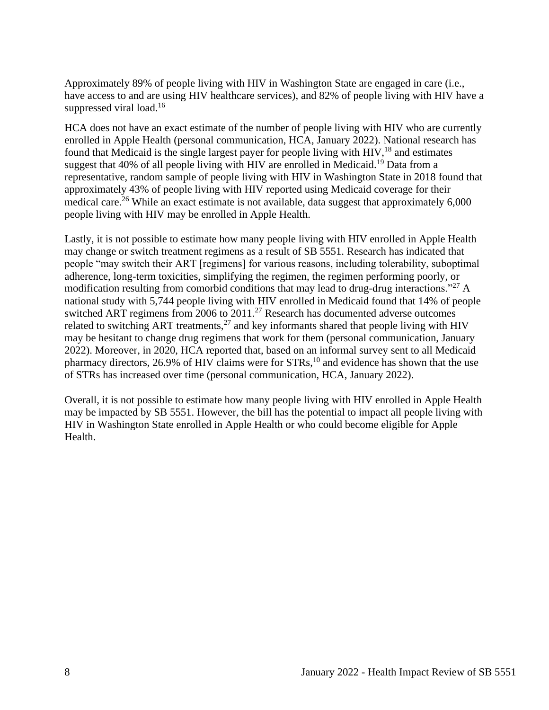Approximately 89% of people living with HIV in Washington State are engaged in care (i.e., have access to and are using HIV healthcare services), and 82% of people living with HIV have a suppressed viral load.<sup>16</sup>

HCA does not have an exact estimate of the number of people living with HIV who are currently enrolled in Apple Health (personal communication, HCA, January 2022). National research has found that Medicaid is the single largest payer for people living with HIV,<sup>18</sup> and estimates suggest that 40% of all people living with HIV are enrolled in Medicaid.<sup>19</sup> Data from a representative, random sample of people living with HIV in Washington State in 2018 found that approximately 43% of people living with HIV reported using Medicaid coverage for their medical care.<sup>26</sup> While an exact estimate is not available, data suggest that approximately  $6,000$ people living with HIV may be enrolled in Apple Health.

Lastly, it is not possible to estimate how many people living with HIV enrolled in Apple Health may change or switch treatment regimens as a result of SB 5551. Research has indicated that people "may switch their ART [regimens] for various reasons, including tolerability, suboptimal adherence, long-term toxicities, simplifying the regimen, the regimen performing poorly, or modification resulting from comorbid conditions that may lead to drug-drug interactions.<sup>"27</sup> A national study with 5,744 people living with HIV enrolled in Medicaid found that 14% of people switched ART regimens from 2006 to 2011.<sup>27</sup> Research has documented adverse outcomes related to switching ART treatments,<sup>27</sup> and key informants shared that people living with HIV may be hesitant to change drug regimens that work for them (personal communication, January 2022). Moreover, in 2020, HCA reported that, based on an informal survey sent to all Medicaid pharmacy directors, 26.9% of HIV claims were for STRs,<sup>10</sup> and evidence has shown that the use of STRs has increased over time (personal communication, HCA, January 2022).

Overall, it is not possible to estimate how many people living with HIV enrolled in Apple Health may be impacted by SB 5551. However, the bill has the potential to impact all people living with HIV in Washington State enrolled in Apple Health or who could become eligible for Apple Health.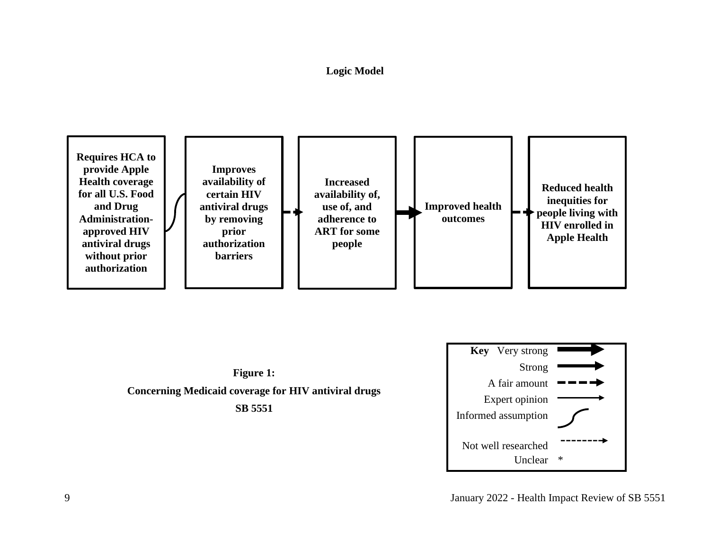# **Logic Model**

<span id="page-10-0"></span>





9 January 2022 - Health Impact Review of SB 5551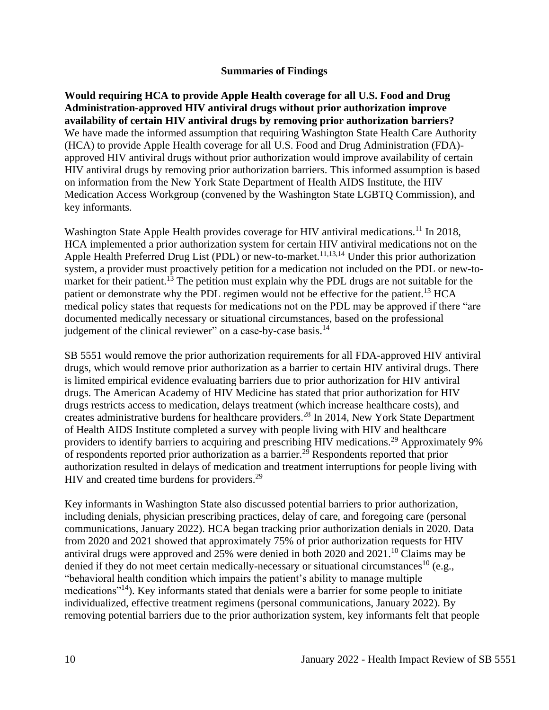#### **Summaries of Findings**

<span id="page-11-0"></span>**Would requiring HCA to provide Apple Health coverage for all U.S. Food and Drug Administration-approved HIV antiviral drugs without prior authorization improve availability of certain HIV antiviral drugs by removing prior authorization barriers?** We have made the informed assumption that requiring Washington State Health Care Authority (HCA) to provide Apple Health coverage for all U.S. Food and Drug Administration (FDA) approved HIV antiviral drugs without prior authorization would improve availability of certain HIV antiviral drugs by removing prior authorization barriers. This informed assumption is based on information from the New York State Department of Health AIDS Institute, the HIV Medication Access Workgroup (convened by the Washington State LGBTQ Commission), and key informants.

Washington State Apple Health provides coverage for HIV antiviral medications.<sup>11</sup> In 2018, HCA implemented a prior authorization system for certain HIV antiviral medications not on the Apple Health Preferred Drug List (PDL) or new-to-market.<sup>11,13,14</sup> Under this prior authorization system, a provider must proactively petition for a medication not included on the PDL or new-tomarket for their patient.<sup>13</sup> The petition must explain why the PDL drugs are not suitable for the patient or demonstrate why the PDL regimen would not be effective for the patient.<sup>13</sup> HCA medical policy states that requests for medications not on the PDL may be approved if there "are documented medically necessary or situational circumstances, based on the professional judgement of the clinical reviewer" on a case-by-case basis.<sup>14</sup>

SB 5551 would remove the prior authorization requirements for all FDA-approved HIV antiviral drugs, which would remove prior authorization as a barrier to certain HIV antiviral drugs. There is limited empirical evidence evaluating barriers due to prior authorization for HIV antiviral drugs. The American Academy of HIV Medicine has stated that prior authorization for HIV drugs restricts access to medication, delays treatment (which increase healthcare costs), and creates administrative burdens for healthcare providers.<sup>28</sup> In 2014, New York State Department of Health AIDS Institute completed a survey with people living with HIV and healthcare providers to identify barriers to acquiring and prescribing HIV medications.<sup>29</sup> Approximately 9% of respondents reported prior authorization as a barrier.<sup>29</sup> Respondents reported that prior authorization resulted in delays of medication and treatment interruptions for people living with HIV and created time burdens for providers.<sup>29</sup>

Key informants in Washington State also discussed potential barriers to prior authorization, including denials, physician prescribing practices, delay of care, and foregoing care (personal communications, January 2022). HCA began tracking prior authorization denials in 2020. Data from 2020 and 2021 showed that approximately 75% of prior authorization requests for HIV antiviral drugs were approved and  $25%$  were denied in both 2020 and 2021.<sup>10</sup> Claims may be denied if they do not meet certain medically-necessary or situational circumstances<sup>10</sup> (e.g., "behavioral health condition which impairs the patient's ability to manage multiple medications<sup>"14</sup>). Key informants stated that denials were a barrier for some people to initiate individualized, effective treatment regimens (personal communications, January 2022). By removing potential barriers due to the prior authorization system, key informants felt that people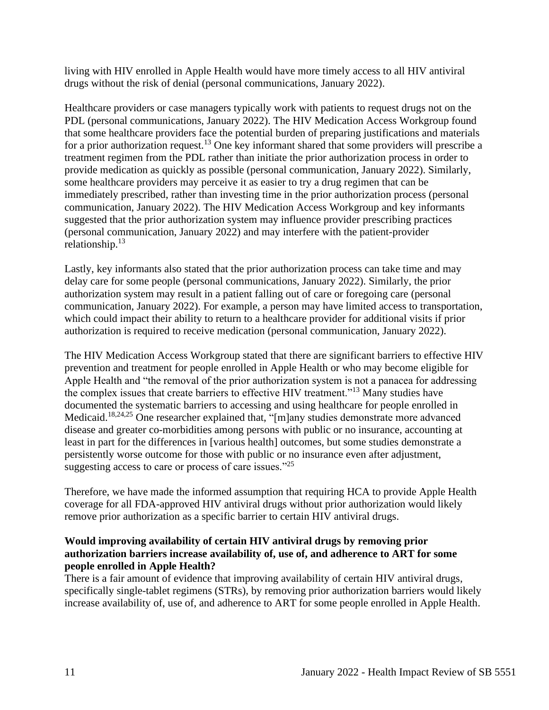living with HIV enrolled in Apple Health would have more timely access to all HIV antiviral drugs without the risk of denial (personal communications, January 2022).

Healthcare providers or case managers typically work with patients to request drugs not on the PDL (personal communications, January 2022). The HIV Medication Access Workgroup found that some healthcare providers face the potential burden of preparing justifications and materials for a prior authorization request.<sup>13</sup> One key informant shared that some providers will prescribe a treatment regimen from the PDL rather than initiate the prior authorization process in order to provide medication as quickly as possible (personal communication, January 2022). Similarly, some healthcare providers may perceive it as easier to try a drug regimen that can be immediately prescribed, rather than investing time in the prior authorization process (personal communication, January 2022). The HIV Medication Access Workgroup and key informants suggested that the prior authorization system may influence provider prescribing practices (personal communication, January 2022) and may interfere with the patient-provider relationship. $13$ 

Lastly, key informants also stated that the prior authorization process can take time and may delay care for some people (personal communications, January 2022). Similarly, the prior authorization system may result in a patient falling out of care or foregoing care (personal communication, January 2022). For example, a person may have limited access to transportation, which could impact their ability to return to a healthcare provider for additional visits if prior authorization is required to receive medication (personal communication, January 2022).

The HIV Medication Access Workgroup stated that there are significant barriers to effective HIV prevention and treatment for people enrolled in Apple Health or who may become eligible for Apple Health and "the removal of the prior authorization system is not a panacea for addressing the complex issues that create barriers to effective HIV treatment."<sup>13</sup> Many studies have documented the systematic barriers to accessing and using healthcare for people enrolled in Medicaid.18,24,25 One researcher explained that, "[m]any studies demonstrate more advanced disease and greater co-morbidities among persons with public or no insurance, accounting at least in part for the differences in [various health] outcomes, but some studies demonstrate a persistently worse outcome for those with public or no insurance even after adjustment, suggesting access to care or process of care issues."<sup>25</sup>

Therefore, we have made the informed assumption that requiring HCA to provide Apple Health coverage for all FDA-approved HIV antiviral drugs without prior authorization would likely remove prior authorization as a specific barrier to certain HIV antiviral drugs.

## **Would improving availability of certain HIV antiviral drugs by removing prior authorization barriers increase availability of, use of, and adherence to ART for some people enrolled in Apple Health?**

There is a fair amount of evidence that improving availability of certain HIV antiviral drugs, specifically single-tablet regimens (STRs), by removing prior authorization barriers would likely increase availability of, use of, and adherence to ART for some people enrolled in Apple Health.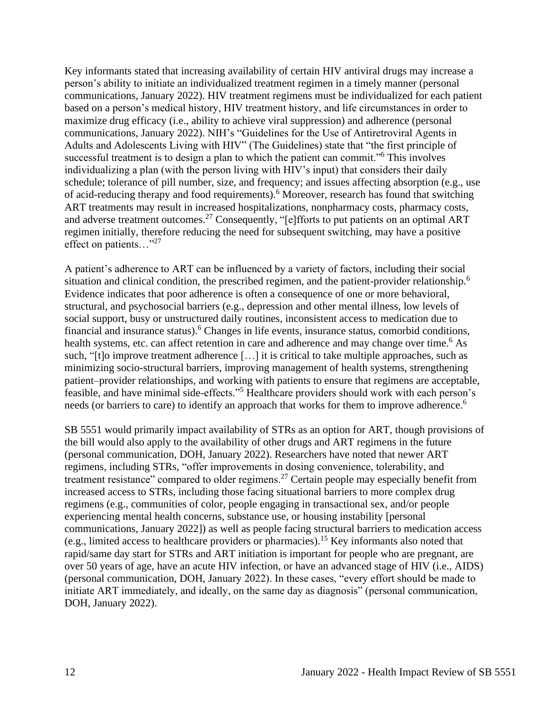Key informants stated that increasing availability of certain HIV antiviral drugs may increase a person's ability to initiate an individualized treatment regimen in a timely manner (personal communications, January 2022). HIV treatment regimens must be individualized for each patient based on a person's medical history, HIV treatment history, and life circumstances in order to maximize drug efficacy (i.e., ability to achieve viral suppression) and adherence (personal communications, January 2022). NIH's "Guidelines for the Use of Antiretroviral Agents in Adults and Adolescents Living with HIV" (The Guidelines) state that "the first principle of successful treatment is to design a plan to which the patient can commit."<sup>6</sup> This involves individualizing a plan (with the person living with HIV's input) that considers their daily schedule; tolerance of pill number, size, and frequency; and issues affecting absorption (e.g., use of acid-reducing therapy and food requirements).<sup>6</sup> Moreover, research has found that switching ART treatments may result in increased hospitalizations, nonpharmacy costs, pharmacy costs, and adverse treatment outcomes.<sup>27</sup> Consequently, "[e]fforts to put patients on an optimal ART regimen initially, therefore reducing the need for subsequent switching, may have a positive effect on patients..."<sup>27</sup>

A patient's adherence to ART can be influenced by a variety of factors, including their social situation and clinical condition, the prescribed regimen, and the patient-provider relationship.<sup>6</sup> Evidence indicates that poor adherence is often a consequence of one or more behavioral, structural, and psychosocial barriers (e.g., depression and other mental illness, low levels of social support, busy or unstructured daily routines, inconsistent access to medication due to financial and insurance status).<sup>6</sup> Changes in life events, insurance status, comorbid conditions, health systems, etc. can affect retention in care and adherence and may change over time.<sup>6</sup> As such, "[t]o improve treatment adherence […] it is critical to take multiple approaches, such as minimizing socio-structural barriers, improving management of health systems, strengthening patient–provider relationships, and working with patients to ensure that regimens are acceptable, feasible, and have minimal side-effects."<sup>5</sup> Healthcare providers should work with each person's needs (or barriers to care) to identify an approach that works for them to improve adherence.<sup>6</sup>

SB 5551 would primarily impact availability of STRs as an option for ART, though provisions of the bill would also apply to the availability of other drugs and ART regimens in the future (personal communication, DOH, January 2022). Researchers have noted that newer ART regimens, including STRs, "offer improvements in dosing convenience, tolerability, and treatment resistance" compared to older regimens.<sup>27</sup> Certain people may especially benefit from increased access to STRs, including those facing situational barriers to more complex drug regimens (e.g., communities of color, people engaging in transactional sex, and/or people experiencing mental health concerns, substance use, or housing instability [personal communications, January 2022]) as well as people facing structural barriers to medication access (e.g., limited access to healthcare providers or pharmacies).<sup>15</sup> Key informants also noted that rapid/same day start for STRs and ART initiation is important for people who are pregnant, are over 50 years of age, have an acute HIV infection, or have an advanced stage of HIV (i.e., AIDS) (personal communication, DOH, January 2022). In these cases, "every effort should be made to initiate ART immediately, and ideally, on the same day as diagnosis" (personal communication, DOH, January 2022).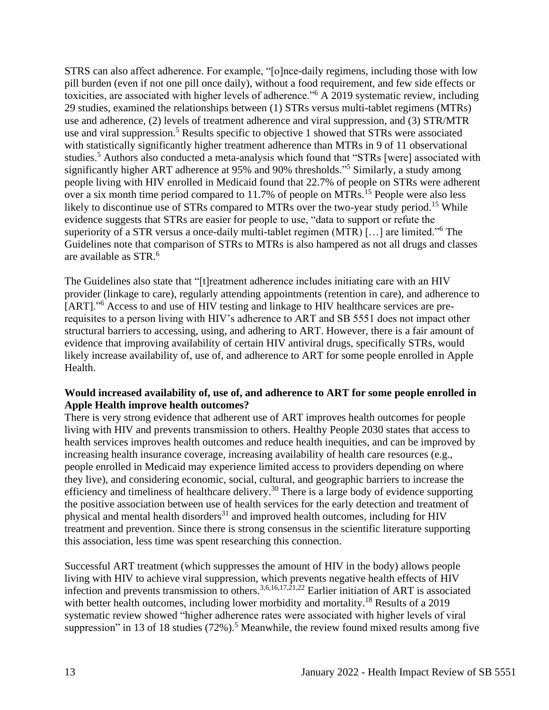STRS can also affect adherence. For example, "[o]nce-daily regimens, including those with low pill burden (even if not one pill once daily), without a food requirement, and few side effects or toxicities, are associated with higher levels of adherence."<sup>6</sup> A 2019 systematic review, including 29 studies, examined the relationships between (1) STRs versus multi-tablet regimens (MTRs) use and adherence, (2) levels of treatment adherence and viral suppression, and (3) STR/MTR use and viral suppression.<sup>5</sup> Results specific to objective 1 showed that STRs were associated with statistically significantly higher treatment adherence than MTRs in 9 of 11 observational studies.<sup>5</sup> Authors also conducted a meta-analysis which found that "STRs [were] associated with significantly higher ART adherence at 95% and 90% thresholds." <sup>5</sup> Similarly, a study among people living with HIV enrolled in Medicaid found that 22.7% of people on STRs were adherent over a six month time period compared to  $11.7\%$  of people on MTRs.<sup>15</sup> People were also less likely to discontinue use of STRs compared to MTRs over the two-year study period.<sup>15</sup> While evidence suggests that STRs are easier for people to use, "data to support or refute the superiority of a STR versus a once-daily multi-tablet regimen (MTR) […] are limited."<sup>6</sup> The Guidelines note that comparison of STRs to MTRs is also hampered as not all drugs and classes are available as STR.<sup>6</sup>

The Guidelines also state that "[t]reatment adherence includes initiating care with an HIV provider (linkage to care), regularly attending appointments (retention in care), and adherence to [ART]."<sup>6</sup> Access to and use of HIV testing and linkage to HIV healthcare services are prerequisites to a person living with HIV's adherence to ART and SB 5551 does not impact other structural barriers to accessing, using, and adhering to ART. However, there is a fair amount of evidence that improving availability of certain HIV antiviral drugs, specifically STRs, would likely increase availability of, use of, and adherence to ART for some people enrolled in Apple Health.

## **Would increased availability of, use of, and adherence to ART for some people enrolled in Apple Health improve health outcomes?**

There is very strong evidence that adherent use of ART improves health outcomes for people living with HIV and prevents transmission to others. Healthy People 2030 states that access to health services improves health outcomes and reduce health inequities, and can be improved by increasing health insurance coverage, increasing availability of health care resources (e.g., people enrolled in Medicaid may experience limited access to providers depending on where they live), and considering economic, social, cultural, and geographic barriers to increase the efficiency and timeliness of healthcare delivery.<sup>30</sup> There is a large body of evidence supporting the positive association between use of health services for the early detection and treatment of physical and mental health disorders $31$  and improved health outcomes, including for HIV treatment and prevention. Since there is strong consensus in the scientific literature supporting this association, less time was spent researching this connection.

Successful ART treatment (which suppresses the amount of HIV in the body) allows people living with HIV to achieve viral suppression, which prevents negative health effects of HIV infection and prevents transmission to others.<sup>3,6,16,17,21,22</sup> Earlier initiation of ART is associated with better health outcomes, including lower morbidity and mortality.<sup>18</sup> Results of a 2019 systematic review showed "higher adherence rates were associated with higher levels of viral suppression" in 13 of 18 studies  $(72\%)$ .<sup>5</sup> Meanwhile, the review found mixed results among five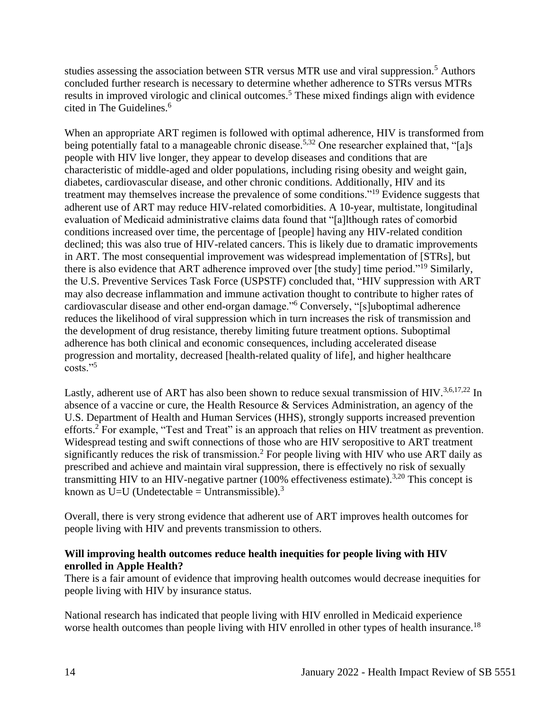studies assessing the association between STR versus MTR use and viral suppression.<sup>5</sup> Authors concluded further research is necessary to determine whether adherence to STRs versus MTRs results in improved virologic and clinical outcomes.<sup>5</sup> These mixed findings align with evidence cited in The Guidelines.<sup>6</sup>

When an appropriate ART regimen is followed with optimal adherence, HIV is transformed from being potentially fatal to a manageable chronic disease.<sup>5,32</sup> One researcher explained that, "[a]s people with HIV live longer, they appear to develop diseases and conditions that are characteristic of middle-aged and older populations, including rising obesity and weight gain, diabetes, cardiovascular disease, and other chronic conditions. Additionally, HIV and its treatment may themselves increase the prevalence of some conditions."<sup>19</sup> Evidence suggests that adherent use of ART may reduce HIV-related comorbidities. A 10-year, multistate, longitudinal evaluation of Medicaid administrative claims data found that "[a]lthough rates of comorbid conditions increased over time, the percentage of [people] having any HIV-related condition declined; this was also true of HIV-related cancers. This is likely due to dramatic improvements in ART. The most consequential improvement was widespread implementation of [STRs], but there is also evidence that ART adherence improved over [the study] time period."<sup>19</sup> Similarly, the U.S. Preventive Services Task Force (USPSTF) concluded that, "HIV suppression with ART may also decrease inflammation and immune activation thought to contribute to higher rates of cardiovascular disease and other end-organ damage."<sup>6</sup> Conversely, "[s]uboptimal adherence reduces the likelihood of viral suppression which in turn increases the risk of transmission and the development of drug resistance, thereby limiting future treatment options. Suboptimal adherence has both clinical and economic consequences, including accelerated disease progression and mortality, decreased [health-related quality of life], and higher healthcare  $costs.$ "

Lastly, adherent use of ART has also been shown to reduce sexual transmission of HIV.<sup>3,6,17,22</sup> In absence of a vaccine or cure, the Health Resource & Services Administration, an agency of the U.S. Department of Health and Human Services (HHS), strongly supports increased prevention efforts.<sup>2</sup> For example, "Test and Treat" is an approach that relies on HIV treatment as prevention. Widespread testing and swift connections of those who are HIV seropositive to ART treatment significantly reduces the risk of transmission.<sup>2</sup> For people living with HIV who use ART daily as prescribed and achieve and maintain viral suppression, there is effectively no risk of sexually transmitting HIV to an HIV-negative partner  $(100\%$  effectiveness estimate).<sup>3,20</sup> This concept is known as U=U (Undetectable = Untransmissible).<sup>3</sup>

Overall, there is very strong evidence that adherent use of ART improves health outcomes for people living with HIV and prevents transmission to others.

#### **Will improving health outcomes reduce health inequities for people living with HIV enrolled in Apple Health?**

There is a fair amount of evidence that improving health outcomes would decrease inequities for people living with HIV by insurance status.

National research has indicated that people living with HIV enrolled in Medicaid experience worse health outcomes than people living with HIV enrolled in other types of health insurance.<sup>18</sup>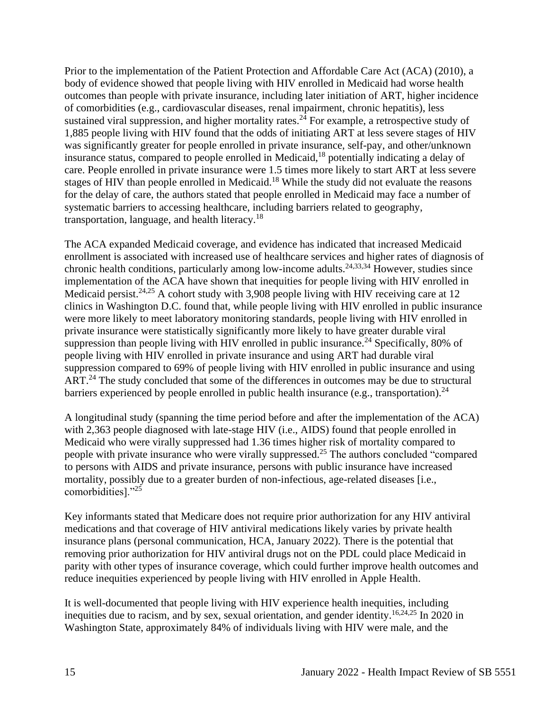Prior to the implementation of the Patient Protection and Affordable Care Act (ACA) (2010), a body of evidence showed that people living with HIV enrolled in Medicaid had worse health outcomes than people with private insurance, including later initiation of ART, higher incidence of comorbidities (e.g., cardiovascular diseases, renal impairment, chronic hepatitis), less sustained viral suppression, and higher mortality rates.<sup>24</sup> For example, a retrospective study of 1,885 people living with HIV found that the odds of initiating ART at less severe stages of HIV was significantly greater for people enrolled in private insurance, self-pay, and other/unknown insurance status, compared to people enrolled in Medicaid, <sup>18</sup> potentially indicating a delay of care. People enrolled in private insurance were 1.5 times more likely to start ART at less severe stages of HIV than people enrolled in Medicaid.<sup>18</sup> While the study did not evaluate the reasons for the delay of care, the authors stated that people enrolled in Medicaid may face a number of systematic barriers to accessing healthcare, including barriers related to geography, transportation, language, and health literacy. $18$ 

The ACA expanded Medicaid coverage, and evidence has indicated that increased Medicaid enrollment is associated with increased use of healthcare services and higher rates of diagnosis of chronic health conditions, particularly among low-income adults.<sup>24,33,34</sup> However, studies since implementation of the ACA have shown that inequities for people living with HIV enrolled in Medicaid persist.<sup>24,25</sup> A cohort study with 3,908 people living with HIV receiving care at 12 clinics in Washington D.C. found that, while people living with HIV enrolled in public insurance were more likely to meet laboratory monitoring standards, people living with HIV enrolled in private insurance were statistically significantly more likely to have greater durable viral suppression than people living with HIV enrolled in public insurance.<sup>24</sup> Specifically, 80% of people living with HIV enrolled in private insurance and using ART had durable viral suppression compared to 69% of people living with HIV enrolled in public insurance and using ART.<sup>24</sup> The study concluded that some of the differences in outcomes may be due to structural barriers experienced by people enrolled in public health insurance (e.g., transportation).<sup>24</sup>

A longitudinal study (spanning the time period before and after the implementation of the ACA) with 2,363 people diagnosed with late-stage HIV (i.e., AIDS) found that people enrolled in Medicaid who were virally suppressed had 1.36 times higher risk of mortality compared to people with private insurance who were virally suppressed.<sup>25</sup> The authors concluded "compared to persons with AIDS and private insurance, persons with public insurance have increased mortality, possibly due to a greater burden of non-infectious, age-related diseases [i.e., comorbidities]."<sup>25</sup>

Key informants stated that Medicare does not require prior authorization for any HIV antiviral medications and that coverage of HIV antiviral medications likely varies by private health insurance plans (personal communication, HCA, January 2022). There is the potential that removing prior authorization for HIV antiviral drugs not on the PDL could place Medicaid in parity with other types of insurance coverage, which could further improve health outcomes and reduce inequities experienced by people living with HIV enrolled in Apple Health.

It is well-documented that people living with HIV experience health inequities, including inequities due to racism, and by sex, sexual orientation, and gender identity. 16,24,25 In 2020 in Washington State, approximately 84% of individuals living with HIV were male, and the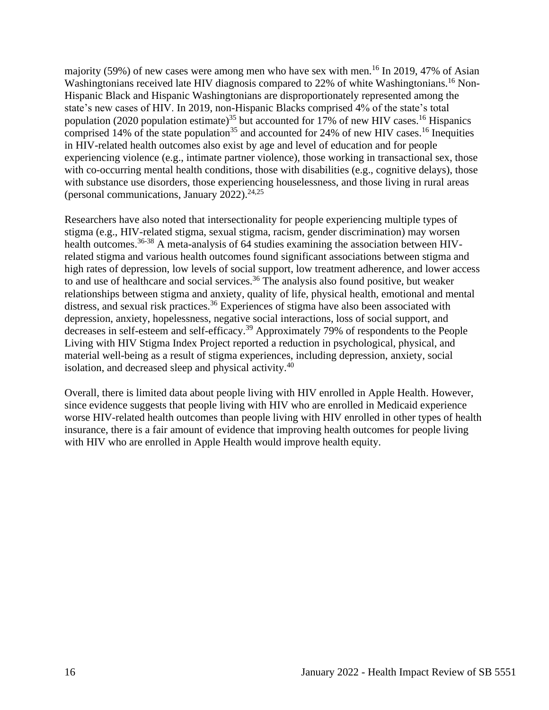majority (59%) of new cases were among men who have sex with men.<sup>16</sup> In 2019, 47% of Asian Washingtonians received late HIV diagnosis compared to 22% of white Washingtonians.<sup>16</sup> Non-Hispanic Black and Hispanic Washingtonians are disproportionately represented among the state's new cases of HIV. In 2019, non-Hispanic Blacks comprised 4% of the state's total population (2020 population estimate)<sup>35</sup> but accounted for 17% of new HIV cases.<sup>16</sup> Hispanics comprised 14% of the state population<sup>35</sup> and accounted for 24% of new HIV cases.<sup>16</sup> Inequities in HIV-related health outcomes also exist by age and level of education and for people experiencing violence (e.g., intimate partner violence), those working in transactional sex, those with co-occurring mental health conditions, those with disabilities (e.g., cognitive delays), those with substance use disorders, those experiencing houselessness, and those living in rural areas (personal communications, January 2022). $24,25$ 

Researchers have also noted that intersectionality for people experiencing multiple types of stigma (e.g., HIV-related stigma, sexual stigma, racism, gender discrimination) may worsen health outcomes.<sup>36-38</sup> A meta-analysis of 64 studies examining the association between HIVrelated stigma and various health outcomes found significant associations between stigma and high rates of depression, low levels of social support, low treatment adherence, and lower access to and use of healthcare and social services.<sup>36</sup> The analysis also found positive, but weaker relationships between stigma and anxiety, quality of life, physical health, emotional and mental distress, and sexual risk practices.<sup>36</sup> Experiences of stigma have also been associated with depression, anxiety, hopelessness, negative social interactions, loss of social support, and decreases in self-esteem and self-efficacy.<sup>39</sup> Approximately 79% of respondents to the People Living with HIV Stigma Index Project reported a reduction in psychological, physical, and material well-being as a result of stigma experiences, including depression, anxiety, social isolation, and decreased sleep and physical activity.<sup>40</sup>

Overall, there is limited data about people living with HIV enrolled in Apple Health. However, since evidence suggests that people living with HIV who are enrolled in Medicaid experience worse HIV-related health outcomes than people living with HIV enrolled in other types of health insurance, there is a fair amount of evidence that improving health outcomes for people living with HIV who are enrolled in Apple Health would improve health equity.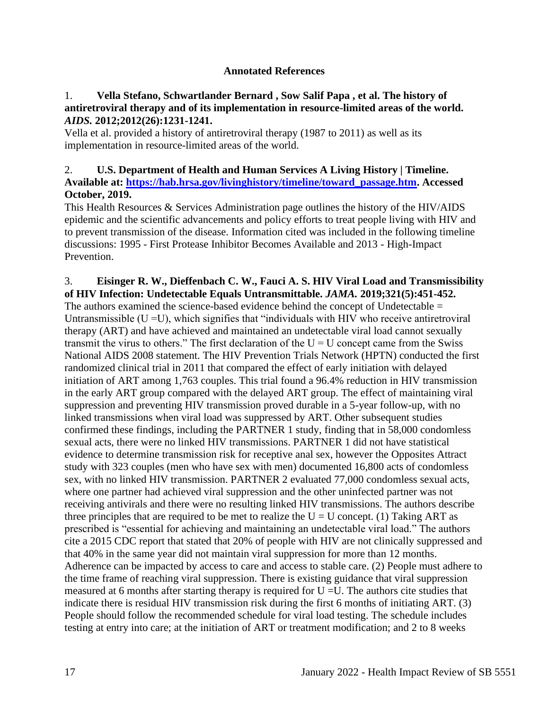#### **Annotated References**

#### <span id="page-18-0"></span>1. **Vella Stefano, Schwartlander Bernard , Sow Salif Papa , et al. The history of antiretroviral therapy and of its implementation in resource-limited areas of the world.**  *AIDS.* **2012;2012(26):1231-1241.**

Vella et al. provided a history of antiretroviral therapy (1987 to 2011) as well as its implementation in resource-limited areas of the world.

## 2. **U.S. Department of Health and Human Services A Living History | Timeline. Available at: [https://hab.hrsa.gov/livinghistory/timeline/toward\\_passage.htm.](https://hab.hrsa.gov/livinghistory/timeline/toward_passage.htm) Accessed October, 2019.**

This Health Resources & Services Administration page outlines the history of the HIV/AIDS epidemic and the scientific advancements and policy efforts to treat people living with HIV and to prevent transmission of the disease. Information cited was included in the following timeline discussions: 1995 - First Protease Inhibitor Becomes Available and 2013 - High-Impact Prevention.

#### 3. **Eisinger R. W., Dieffenbach C. W., Fauci A. S. HIV Viral Load and Transmissibility of HIV Infection: Undetectable Equals Untransmittable.** *JAMA.* **2019;321(5):451-452.**

The authors examined the science-based evidence behind the concept of Undetectable = Untransmissible  $(U = U)$ , which signifies that "individuals with HIV who receive antiretroviral therapy (ART) and have achieved and maintained an undetectable viral load cannot sexually transmit the virus to others." The first declaration of the  $U = U$  concept came from the Swiss National AIDS 2008 statement. The HIV Prevention Trials Network (HPTN) conducted the first randomized clinical trial in 2011 that compared the effect of early initiation with delayed initiation of ART among 1,763 couples. This trial found a 96.4% reduction in HIV transmission in the early ART group compared with the delayed ART group. The effect of maintaining viral suppression and preventing HIV transmission proved durable in a 5-year follow-up, with no linked transmissions when viral load was suppressed by ART. Other subsequent studies confirmed these findings, including the PARTNER 1 study, finding that in 58,000 condomless sexual acts, there were no linked HIV transmissions. PARTNER 1 did not have statistical evidence to determine transmission risk for receptive anal sex, however the Opposites Attract study with 323 couples (men who have sex with men) documented 16,800 acts of condomless sex, with no linked HIV transmission. PARTNER 2 evaluated 77,000 condomless sexual acts, where one partner had achieved viral suppression and the other uninfected partner was not receiving antivirals and there were no resulting linked HIV transmissions. The authors describe three principles that are required to be met to realize the  $U = U$  concept. (1) Taking ART as prescribed is "essential for achieving and maintaining an undetectable viral load." The authors cite a 2015 CDC report that stated that 20% of people with HIV are not clinically suppressed and that 40% in the same year did not maintain viral suppression for more than 12 months. Adherence can be impacted by access to care and access to stable care. (2) People must adhere to the time frame of reaching viral suppression. There is existing guidance that viral suppression measured at 6 months after starting therapy is required for  $U = U$ . The authors cite studies that indicate there is residual HIV transmission risk during the first 6 months of initiating ART. (3) People should follow the recommended schedule for viral load testing. The schedule includes testing at entry into care; at the initiation of ART or treatment modification; and 2 to 8 weeks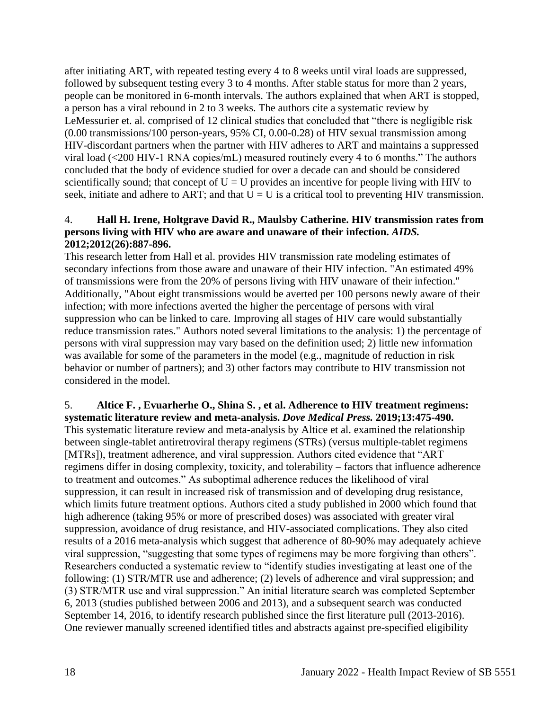after initiating ART, with repeated testing every 4 to 8 weeks until viral loads are suppressed, followed by subsequent testing every 3 to 4 months. After stable status for more than 2 years, people can be monitored in 6-month intervals. The authors explained that when ART is stopped, a person has a viral rebound in 2 to 3 weeks. The authors cite a systematic review by LeMessurier et. al. comprised of 12 clinical studies that concluded that "there is negligible risk (0.00 transmissions/100 person-years, 95% CI, 0.00-0.28) of HIV sexual transmission among HIV-discordant partners when the partner with HIV adheres to ART and maintains a suppressed viral load (<200 HIV-1 RNA copies/mL) measured routinely every 4 to 6 months." The authors concluded that the body of evidence studied for over a decade can and should be considered scientifically sound; that concept of  $U = U$  provides an incentive for people living with HIV to seek, initiate and adhere to ART; and that  $\overline{U} = U$  is a critical tool to preventing HIV transmission.

#### 4. **Hall H. Irene, Holtgrave David R., Maulsby Catherine. HIV transmission rates from persons living with HIV who are aware and unaware of their infection.** *AIDS.*  **2012;2012(26):887-896.**

This research letter from Hall et al. provides HIV transmission rate modeling estimates of secondary infections from those aware and unaware of their HIV infection. "An estimated 49% of transmissions were from the 20% of persons living with HIV unaware of their infection." Additionally, "About eight transmissions would be averted per 100 persons newly aware of their infection; with more infections averted the higher the percentage of persons with viral suppression who can be linked to care. Improving all stages of HIV care would substantially reduce transmission rates." Authors noted several limitations to the analysis: 1) the percentage of persons with viral suppression may vary based on the definition used; 2) little new information was available for some of the parameters in the model (e.g., magnitude of reduction in risk behavior or number of partners); and 3) other factors may contribute to HIV transmission not considered in the model.

#### 5. **Altice F. , Evuarherhe O., Shina S. , et al. Adherence to HIV treatment regimens: systematic literature review and meta-analysis.** *Dove Medical Press.* **2019;13:475-490.**

This systematic literature review and meta-analysis by Altice et al. examined the relationship between single-tablet antiretroviral therapy regimens (STRs) (versus multiple-tablet regimens [MTRs]), treatment adherence, and viral suppression. Authors cited evidence that "ART regimens differ in dosing complexity, toxicity, and tolerability – factors that influence adherence to treatment and outcomes." As suboptimal adherence reduces the likelihood of viral suppression, it can result in increased risk of transmission and of developing drug resistance, which limits future treatment options. Authors cited a study published in 2000 which found that high adherence (taking 95% or more of prescribed doses) was associated with greater viral suppression, avoidance of drug resistance, and HIV-associated complications. They also cited results of a 2016 meta-analysis which suggest that adherence of 80-90% may adequately achieve viral suppression, "suggesting that some types of regimens may be more forgiving than others". Researchers conducted a systematic review to "identify studies investigating at least one of the following: (1) STR/MTR use and adherence; (2) levels of adherence and viral suppression; and (3) STR/MTR use and viral suppression." An initial literature search was completed September 6, 2013 (studies published between 2006 and 2013), and a subsequent search was conducted September 14, 2016, to identify research published since the first literature pull (2013-2016). One reviewer manually screened identified titles and abstracts against pre-specified eligibility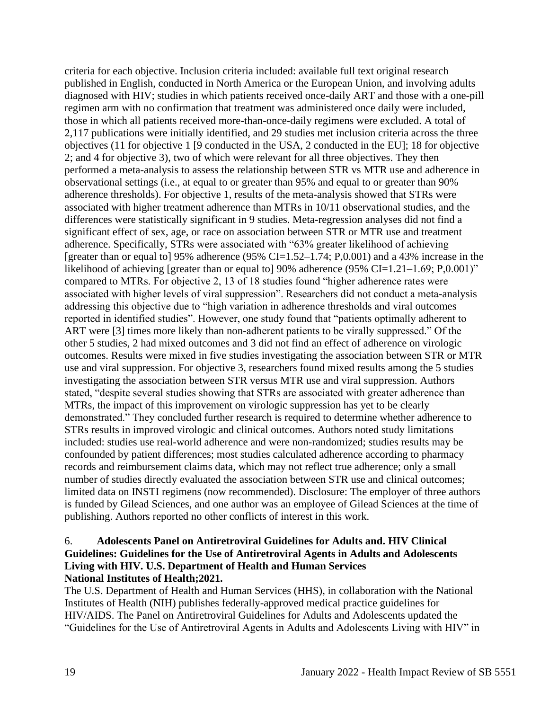criteria for each objective. Inclusion criteria included: available full text original research published in English, conducted in North America or the European Union, and involving adults diagnosed with HIV; studies in which patients received once-daily ART and those with a one-pill regimen arm with no confirmation that treatment was administered once daily were included, those in which all patients received more-than-once-daily regimens were excluded. A total of 2,117 publications were initially identified, and 29 studies met inclusion criteria across the three objectives (11 for objective 1 [9 conducted in the USA, 2 conducted in the EU]; 18 for objective 2; and 4 for objective 3), two of which were relevant for all three objectives. They then performed a meta-analysis to assess the relationship between STR vs MTR use and adherence in observational settings (i.e., at equal to or greater than 95% and equal to or greater than 90% adherence thresholds). For objective 1, results of the meta-analysis showed that STRs were associated with higher treatment adherence than MTRs in 10/11 observational studies, and the differences were statistically significant in 9 studies. Meta-regression analyses did not find a significant effect of sex, age, or race on association between STR or MTR use and treatment adherence. Specifically, STRs were associated with "63% greater likelihood of achieving [greater than or equal to] 95% adherence (95% CI=1.52–1.74; P,0.001) and a 43% increase in the likelihood of achieving [greater than or equal to] 90% adherence (95% CI=1.21–1.69; P,0.001)" compared to MTRs. For objective 2, 13 of 18 studies found "higher adherence rates were associated with higher levels of viral suppression". Researchers did not conduct a meta-analysis addressing this objective due to "high variation in adherence thresholds and viral outcomes reported in identified studies". However, one study found that "patients optimally adherent to ART were [3] times more likely than non-adherent patients to be virally suppressed." Of the other 5 studies, 2 had mixed outcomes and 3 did not find an effect of adherence on virologic outcomes. Results were mixed in five studies investigating the association between STR or MTR use and viral suppression. For objective 3, researchers found mixed results among the 5 studies investigating the association between STR versus MTR use and viral suppression. Authors stated, "despite several studies showing that STRs are associated with greater adherence than MTRs, the impact of this improvement on virologic suppression has yet to be clearly demonstrated." They concluded further research is required to determine whether adherence to STRs results in improved virologic and clinical outcomes. Authors noted study limitations included: studies use real-world adherence and were non-randomized; studies results may be confounded by patient differences; most studies calculated adherence according to pharmacy records and reimbursement claims data, which may not reflect true adherence; only a small number of studies directly evaluated the association between STR use and clinical outcomes; limited data on INSTI regimens (now recommended). Disclosure: The employer of three authors is funded by Gilead Sciences, and one author was an employee of Gilead Sciences at the time of publishing. Authors reported no other conflicts of interest in this work.

#### 6. **Adolescents Panel on Antiretroviral Guidelines for Adults and. HIV Clinical Guidelines: Guidelines for the Use of Antiretroviral Agents in Adults and Adolescents Living with HIV. U.S. Department of Health and Human Services National Institutes of Health;2021.**

The U.S. Department of Health and Human Services (HHS), in collaboration with the National Institutes of Health (NIH) publishes federally-approved medical practice guidelines for HIV/AIDS. The Panel on Antiretroviral Guidelines for Adults and Adolescents updated the "Guidelines for the Use of Antiretroviral Agents in Adults and Adolescents Living with HIV" in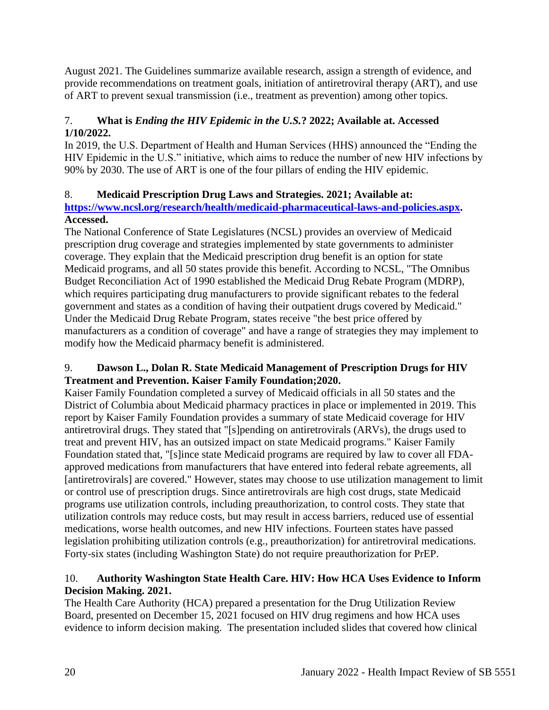August 2021. The Guidelines summarize available research, assign a strength of evidence, and provide recommendations on treatment goals, initiation of antiretroviral therapy (ART), and use of ART to prevent sexual transmission (i.e., treatment as prevention) among other topics.

# 7. **What is** *Ending the HIV Epidemic in the U.S.***? 2022; Available at. Accessed 1/10/2022.**

In 2019, the U.S. Department of Health and Human Services (HHS) announced the "Ending the HIV Epidemic in the U.S." initiative, which aims to reduce the number of new HIV infections by 90% by 2030. The use of ART is one of the four pillars of ending the HIV epidemic.

# 8. **Medicaid Prescription Drug Laws and Strategies. 2021; Available at:**

**[https://www.ncsl.org/research/health/medicaid-pharmaceutical-laws-and-policies.aspx.](https://www.ncsl.org/research/health/medicaid-pharmaceutical-laws-and-policies.aspx) Accessed.**

The National Conference of State Legislatures (NCSL) provides an overview of Medicaid prescription drug coverage and strategies implemented by state governments to administer coverage. They explain that the Medicaid prescription drug benefit is an option for state Medicaid programs, and all 50 states provide this benefit. According to NCSL, "The Omnibus Budget Reconciliation Act of 1990 established the Medicaid Drug Rebate Program (MDRP), which requires participating drug manufacturers to provide significant rebates to the federal government and states as a condition of having their outpatient drugs covered by Medicaid." Under the Medicaid Drug Rebate Program, states receive "the best price offered by manufacturers as a condition of coverage" and have a range of strategies they may implement to modify how the Medicaid pharmacy benefit is administered.

## 9. **Dawson L., Dolan R. State Medicaid Management of Prescription Drugs for HIV Treatment and Prevention. Kaiser Family Foundation;2020.**

Kaiser Family Foundation completed a survey of Medicaid officials in all 50 states and the District of Columbia about Medicaid pharmacy practices in place or implemented in 2019. This report by Kaiser Family Foundation provides a summary of state Medicaid coverage for HIV antiretroviral drugs. They stated that "[s]pending on antiretrovirals (ARVs), the drugs used to treat and prevent HIV, has an outsized impact on state Medicaid programs." Kaiser Family Foundation stated that, "[s]ince state Medicaid programs are required by law to cover all FDAapproved medications from manufacturers that have entered into federal rebate agreements, all [antiretrovirals] are covered." However, states may choose to use utilization management to limit or control use of prescription drugs. Since antiretrovirals are high cost drugs, state Medicaid programs use utilization controls, including preauthorization, to control costs. They state that utilization controls may reduce costs, but may result in access barriers, reduced use of essential medications, worse health outcomes, and new HIV infections. Fourteen states have passed legislation prohibiting utilization controls (e.g., preauthorization) for antiretroviral medications. Forty-six states (including Washington State) do not require preauthorization for PrEP.

# 10. **Authority Washington State Health Care. HIV: How HCA Uses Evidence to Inform Decision Making. 2021.**

The Health Care Authority (HCA) prepared a presentation for the Drug Utilization Review Board, presented on December 15, 2021 focused on HIV drug regimens and how HCA uses evidence to inform decision making. The presentation included slides that covered how clinical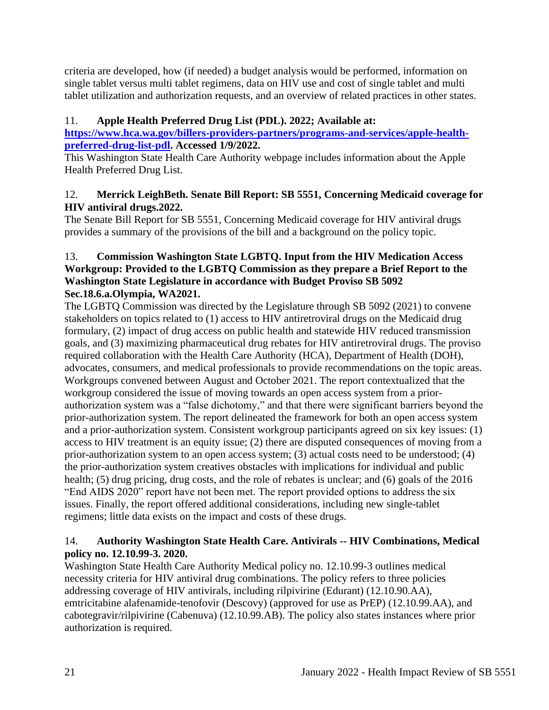criteria are developed, how (if needed) a budget analysis would be performed, information on single tablet versus multi tablet regimens, data on HIV use and cost of single tablet and multi tablet utilization and authorization requests, and an overview of related practices in other states.

# 11. **Apple Health Preferred Drug List (PDL). 2022; Available at:**

**[https://www.hca.wa.gov/billers-providers-partners/programs-and-services/apple-health](https://www.hca.wa.gov/billers-providers-partners/programs-and-services/apple-health-preferred-drug-list-pdl)[preferred-drug-list-pdl.](https://www.hca.wa.gov/billers-providers-partners/programs-and-services/apple-health-preferred-drug-list-pdl) Accessed 1/9/2022.**

This Washington State Health Care Authority webpage includes information about the Apple Health Preferred Drug List.

# 12. **Merrick LeighBeth. Senate Bill Report: SB 5551, Concerning Medicaid coverage for HIV antiviral drugs.2022.**

The Senate Bill Report for SB 5551, Concerning Medicaid coverage for HIV antiviral drugs provides a summary of the provisions of the bill and a background on the policy topic.

# 13. **Commission Washington State LGBTQ. Input from the HIV Medication Access Workgroup: Provided to the LGBTQ Commission as they prepare a Brief Report to the Washington State Legislature in accordance with Budget Proviso SB 5092 Sec.18.6.a.Olympia, WA2021.**

The LGBTQ Commission was directed by the Legislature through SB 5092 (2021) to convene stakeholders on topics related to (1) access to HIV antiretroviral drugs on the Medicaid drug formulary, (2) impact of drug access on public health and statewide HIV reduced transmission goals, and (3) maximizing pharmaceutical drug rebates for HIV antiretroviral drugs. The proviso required collaboration with the Health Care Authority (HCA), Department of Health (DOH), advocates, consumers, and medical professionals to provide recommendations on the topic areas. Workgroups convened between August and October 2021. The report contextualized that the workgroup considered the issue of moving towards an open access system from a priorauthorization system was a "false dichotomy," and that there were significant barriers beyond the prior-authorization system. The report delineated the framework for both an open access system and a prior-authorization system. Consistent workgroup participants agreed on six key issues: (1) access to HIV treatment is an equity issue; (2) there are disputed consequences of moving from a prior-authorization system to an open access system; (3) actual costs need to be understood; (4) the prior-authorization system creatives obstacles with implications for individual and public health; (5) drug pricing, drug costs, and the role of rebates is unclear; and (6) goals of the 2016 "End AIDS 2020" report have not been met. The report provided options to address the six issues. Finally, the report offered additional considerations, including new single-tablet regimens; little data exists on the impact and costs of these drugs.

# 14. **Authority Washington State Health Care. Antivirals -- HIV Combinations, Medical policy no. 12.10.99-3. 2020.**

Washington State Health Care Authority Medical policy no. 12.10.99-3 outlines medical necessity criteria for HIV antiviral drug combinations. The policy refers to three policies addressing coverage of HIV antivirals, including rilpivirine (Edurant) (12.10.90.AA), emtricitabine alafenamide-tenofovir (Descovy) (approved for use as PrEP) (12.10.99.AA), and cabotegravir/rilpivirine (Cabenuva) (12.10.99.AB). The policy also states instances where prior authorization is required.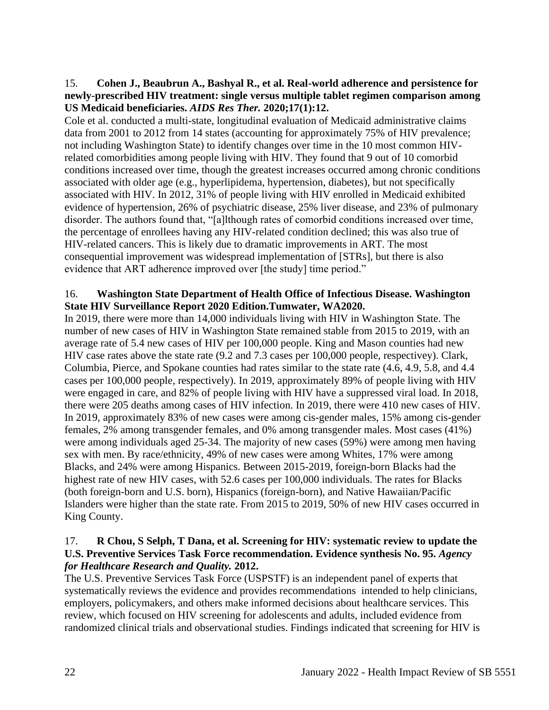#### 15. **Cohen J., Beaubrun A., Bashyal R., et al. Real-world adherence and persistence for newly-prescribed HIV treatment: single versus multiple tablet regimen comparison among US Medicaid beneficiaries.** *AIDS Res Ther.* **2020;17(1):12.**

Cole et al. conducted a multi-state, longitudinal evaluation of Medicaid administrative claims data from 2001 to 2012 from 14 states (accounting for approximately 75% of HIV prevalence; not including Washington State) to identify changes over time in the 10 most common HIVrelated comorbidities among people living with HIV. They found that 9 out of 10 comorbid conditions increased over time, though the greatest increases occurred among chronic conditions associated with older age (e.g., hyperlipidema, hypertension, diabetes), but not specifically associated with HIV. In 2012, 31% of people living with HIV enrolled in Medicaid exhibited evidence of hypertension, 26% of psychiatric disease, 25% liver disease, and 23% of pulmonary disorder. The authors found that, "[a]lthough rates of comorbid conditions increased over time, the percentage of enrollees having any HIV-related condition declined; this was also true of HIV-related cancers. This is likely due to dramatic improvements in ART. The most consequential improvement was widespread implementation of [STRs], but there is also evidence that ART adherence improved over [the study] time period."

#### 16. **Washington State Department of Health Office of Infectious Disease. Washington State HIV Surveillance Report 2020 Edition.Tumwater, WA2020.**

In 2019, there were more than 14,000 individuals living with HIV in Washington State. The number of new cases of HIV in Washington State remained stable from 2015 to 2019, with an average rate of 5.4 new cases of HIV per 100,000 people. King and Mason counties had new HIV case rates above the state rate (9.2 and 7.3 cases per 100,000 people, respectivey). Clark, Columbia, Pierce, and Spokane counties had rates similar to the state rate (4.6, 4.9, 5.8, and 4.4 cases per 100,000 people, respectively). In 2019, approximately 89% of people living with HIV were engaged in care, and 82% of people living with HIV have a suppressed viral load. In 2018, there were 205 deaths among cases of HIV infection. In 2019, there were 410 new cases of HIV. In 2019, approximately 83% of new cases were among cis-gender males, 15% among cis-gender females, 2% among transgender females, and 0% among transgender males. Most cases (41%) were among individuals aged 25-34. The majority of new cases (59%) were among men having sex with men. By race/ethnicity, 49% of new cases were among Whites, 17% were among Blacks, and 24% were among Hispanics. Between 2015-2019, foreign-born Blacks had the highest rate of new HIV cases, with 52.6 cases per 100,000 individuals. The rates for Blacks (both foreign-born and U.S. born), Hispanics (foreign-born), and Native Hawaiian/Pacific Islanders were higher than the state rate. From 2015 to 2019, 50% of new HIV cases occurred in King County.

## 17. **R Chou, S Selph, T Dana, et al. Screening for HIV: systematic review to update the U.S. Preventive Services Task Force recommendation. Evidence synthesis No. 95.** *Agency for Healthcare Research and Quality.* **2012.**

The U.S. Preventive Services Task Force (USPSTF) is an independent panel of experts that systematically reviews the evidence and provides recommendations intended to help clinicians, employers, policymakers, and others make informed decisions about healthcare services. This review, which focused on HIV screening for adolescents and adults, included evidence from randomized clinical trials and observational studies. Findings indicated that screening for HIV is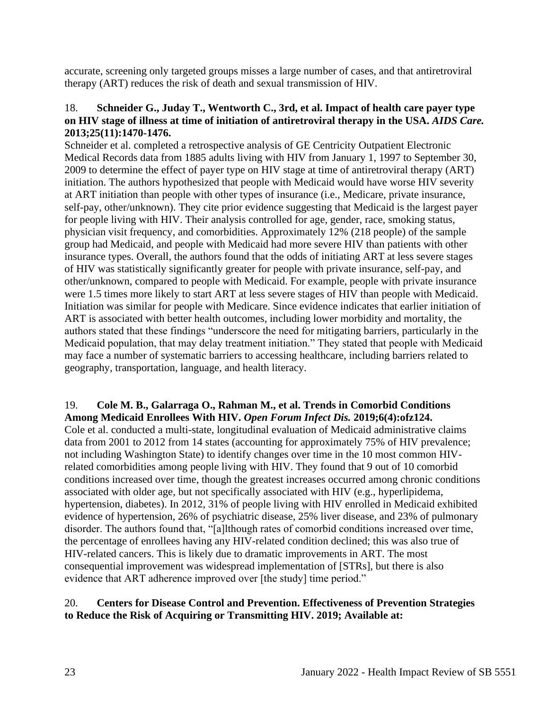accurate, screening only targeted groups misses a large number of cases, and that antiretroviral therapy (ART) reduces the risk of death and sexual transmission of HIV.

#### 18. **Schneider G., Juday T., Wentworth C., 3rd, et al. Impact of health care payer type on HIV stage of illness at time of initiation of antiretroviral therapy in the USA.** *AIDS Care.*  **2013;25(11):1470-1476.**

Schneider et al. completed a retrospective analysis of GE Centricity Outpatient Electronic Medical Records data from 1885 adults living with HIV from January 1, 1997 to September 30, 2009 to determine the effect of payer type on HIV stage at time of antiretroviral therapy (ART) initiation. The authors hypothesized that people with Medicaid would have worse HIV severity at ART initiation than people with other types of insurance (i.e., Medicare, private insurance, self-pay, other/unknown). They cite prior evidence suggesting that Medicaid is the largest payer for people living with HIV. Their analysis controlled for age, gender, race, smoking status, physician visit frequency, and comorbidities. Approximately 12% (218 people) of the sample group had Medicaid, and people with Medicaid had more severe HIV than patients with other insurance types. Overall, the authors found that the odds of initiating ART at less severe stages of HIV was statistically significantly greater for people with private insurance, self-pay, and other/unknown, compared to people with Medicaid. For example, people with private insurance were 1.5 times more likely to start ART at less severe stages of HIV than people with Medicaid. Initiation was similar for people with Medicare. Since evidence indicates that earlier initiation of ART is associated with better health outcomes, including lower morbidity and mortality, the authors stated that these findings "underscore the need for mitigating barriers, particularly in the Medicaid population, that may delay treatment initiation." They stated that people with Medicaid may face a number of systematic barriers to accessing healthcare, including barriers related to geography, transportation, language, and health literacy.

#### 19. **Cole M. B., Galarraga O., Rahman M., et al. Trends in Comorbid Conditions Among Medicaid Enrollees With HIV.** *Open Forum Infect Dis.* **2019;6(4):ofz124.**

Cole et al. conducted a multi-state, longitudinal evaluation of Medicaid administrative claims data from 2001 to 2012 from 14 states (accounting for approximately 75% of HIV prevalence; not including Washington State) to identify changes over time in the 10 most common HIVrelated comorbidities among people living with HIV. They found that 9 out of 10 comorbid conditions increased over time, though the greatest increases occurred among chronic conditions associated with older age, but not specifically associated with HIV (e.g., hyperlipidema, hypertension, diabetes). In 2012, 31% of people living with HIV enrolled in Medicaid exhibited evidence of hypertension, 26% of psychiatric disease, 25% liver disease, and 23% of pulmonary disorder. The authors found that, "[a]lthough rates of comorbid conditions increased over time, the percentage of enrollees having any HIV-related condition declined; this was also true of HIV-related cancers. This is likely due to dramatic improvements in ART. The most consequential improvement was widespread implementation of [STRs], but there is also evidence that ART adherence improved over [the study] time period."

# 20. **Centers for Disease Control and Prevention. Effectiveness of Prevention Strategies to Reduce the Risk of Acquiring or Transmitting HIV. 2019; Available at:**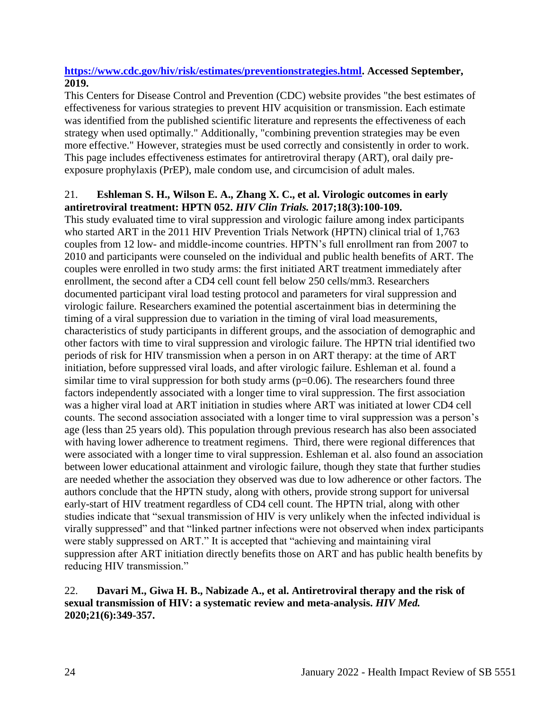# **[https://www.cdc.gov/hiv/risk/estimates/preventionstrategies.html.](https://www.cdc.gov/hiv/risk/estimates/preventionstrategies.html) Accessed September, 2019.**

This Centers for Disease Control and Prevention (CDC) website provides "the best estimates of effectiveness for various strategies to prevent HIV acquisition or transmission. Each estimate was identified from the published scientific literature and represents the effectiveness of each strategy when used optimally." Additionally, "combining prevention strategies may be even more effective." However, strategies must be used correctly and consistently in order to work. This page includes effectiveness estimates for antiretroviral therapy (ART), oral daily preexposure prophylaxis (PrEP), male condom use, and circumcision of adult males.

## 21. **Eshleman S. H., Wilson E. A., Zhang X. C., et al. Virologic outcomes in early antiretroviral treatment: HPTN 052.** *HIV Clin Trials.* **2017;18(3):100-109.**

This study evaluated time to viral suppression and virologic failure among index participants who started ART in the 2011 HIV Prevention Trials Network (HPTN) clinical trial of 1,763 couples from 12 low- and middle-income countries. HPTN's full enrollment ran from 2007 to 2010 and participants were counseled on the individual and public health benefits of ART. The couples were enrolled in two study arms: the first initiated ART treatment immediately after enrollment, the second after a CD4 cell count fell below 250 cells/mm3. Researchers documented participant viral load testing protocol and parameters for viral suppression and virologic failure. Researchers examined the potential ascertainment bias in determining the timing of a viral suppression due to variation in the timing of viral load measurements, characteristics of study participants in different groups, and the association of demographic and other factors with time to viral suppression and virologic failure. The HPTN trial identified two periods of risk for HIV transmission when a person in on ART therapy: at the time of ART initiation, before suppressed viral loads, and after virologic failure. Eshleman et al. found a similar time to viral suppression for both study arms  $(p=0.06)$ . The researchers found three factors independently associated with a longer time to viral suppression. The first association was a higher viral load at ART initiation in studies where ART was initiated at lower CD4 cell counts. The second association associated with a longer time to viral suppression was a person's age (less than 25 years old). This population through previous research has also been associated with having lower adherence to treatment regimens. Third, there were regional differences that were associated with a longer time to viral suppression. Eshleman et al. also found an association between lower educational attainment and virologic failure, though they state that further studies are needed whether the association they observed was due to low adherence or other factors. The authors conclude that the HPTN study, along with others, provide strong support for universal early-start of HIV treatment regardless of CD4 cell count. The HPTN trial, along with other studies indicate that "sexual transmission of HIV is very unlikely when the infected individual is virally suppressed" and that "linked partner infections were not observed when index participants were stably suppressed on ART." It is accepted that "achieving and maintaining viral suppression after ART initiation directly benefits those on ART and has public health benefits by reducing HIV transmission."

## 22. **Davari M., Giwa H. B., Nabizade A., et al. Antiretroviral therapy and the risk of sexual transmission of HIV: a systematic review and meta-analysis.** *HIV Med.*  **2020;21(6):349-357.**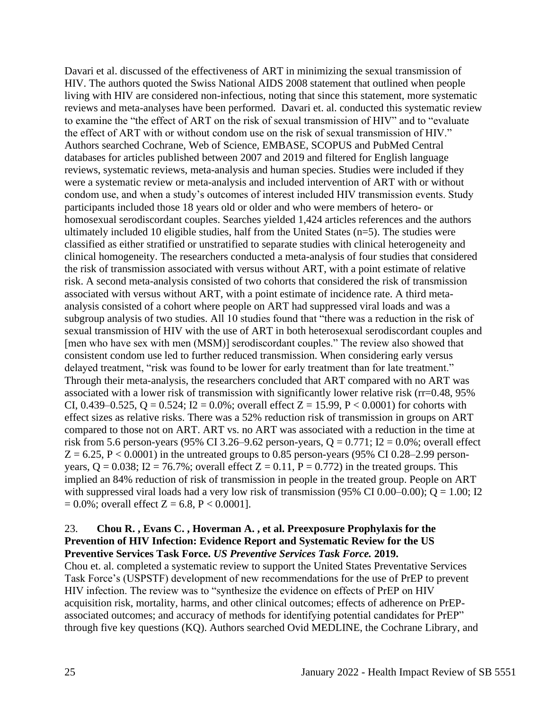Davari et al. discussed of the effectiveness of ART in minimizing the sexual transmission of HIV. The authors quoted the Swiss National AIDS 2008 statement that outlined when people living with HIV are considered non-infectious, noting that since this statement, more systematic reviews and meta-analyses have been performed. Davari et. al. conducted this systematic review to examine the "the effect of ART on the risk of sexual transmission of HIV" and to "evaluate the effect of ART with or without condom use on the risk of sexual transmission of HIV." Authors searched Cochrane, Web of Science, EMBASE, SCOPUS and PubMed Central databases for articles published between 2007 and 2019 and filtered for English language reviews, systematic reviews, meta-analysis and human species. Studies were included if they were a systematic review or meta-analysis and included intervention of ART with or without condom use, and when a study's outcomes of interest included HIV transmission events. Study participants included those 18 years old or older and who were members of hetero- or homosexual serodiscordant couples. Searches yielded 1,424 articles references and the authors ultimately included 10 eligible studies, half from the United States (n=5). The studies were classified as either stratified or unstratified to separate studies with clinical heterogeneity and clinical homogeneity. The researchers conducted a meta-analysis of four studies that considered the risk of transmission associated with versus without ART, with a point estimate of relative risk. A second meta-analysis consisted of two cohorts that considered the risk of transmission associated with versus without ART, with a point estimate of incidence rate. A third metaanalysis consisted of a cohort where people on ART had suppressed viral loads and was a subgroup analysis of two studies. All 10 studies found that "there was a reduction in the risk of sexual transmission of HIV with the use of ART in both heterosexual serodiscordant couples and [men who have sex with men (MSM)] serodiscordant couples." The review also showed that consistent condom use led to further reduced transmission. When considering early versus delayed treatment, "risk was found to be lower for early treatment than for late treatment." Through their meta-analysis, the researchers concluded that ART compared with no ART was associated with a lower risk of transmission with significantly lower relative risk (rr=0.48, 95% CI, 0.439–0.525, Q = 0.524; I2 = 0.0%; overall effect Z = 15.99, P < 0.0001) for cohorts with effect sizes as relative risks. There was a 52% reduction risk of transmission in groups on ART compared to those not on ART. ART vs. no ART was associated with a reduction in the time at risk from 5.6 person-years (95% CI 3.26–9.62 person-years,  $Q = 0.771$ ; I2 = 0.0%; overall effect  $Z = 6.25$ ,  $P < 0.0001$ ) in the untreated groups to 0.85 person-years (95% CI 0.28–2.99 personyears,  $Q = 0.038$ ;  $I2 = 76.7\%$ ; overall effect  $Z = 0.11$ ,  $P = 0.772$ ) in the treated groups. This implied an 84% reduction of risk of transmission in people in the treated group. People on ART with suppressed viral loads had a very low risk of transmission (95% CI 0.00–0.00);  $Q = 1.00$ ; I2  $= 0.0\%$ ; overall effect Z = 6.8, P < 0.0001].

#### 23. **Chou R. , Evans C. , Hoverman A. , et al. Preexposure Prophylaxis for the Prevention of HIV Infection: Evidence Report and Systematic Review for the US Preventive Services Task Force.** *US Preventive Services Task Force.* **2019.**

Chou et. al. completed a systematic review to support the United States Preventative Services Task Force's (USPSTF) development of new recommendations for the use of PrEP to prevent HIV infection. The review was to "synthesize the evidence on effects of PrEP on HIV acquisition risk, mortality, harms, and other clinical outcomes; effects of adherence on PrEPassociated outcomes; and accuracy of methods for identifying potential candidates for PrEP" through five key questions (KQ). Authors searched Ovid MEDLINE, the Cochrane Library, and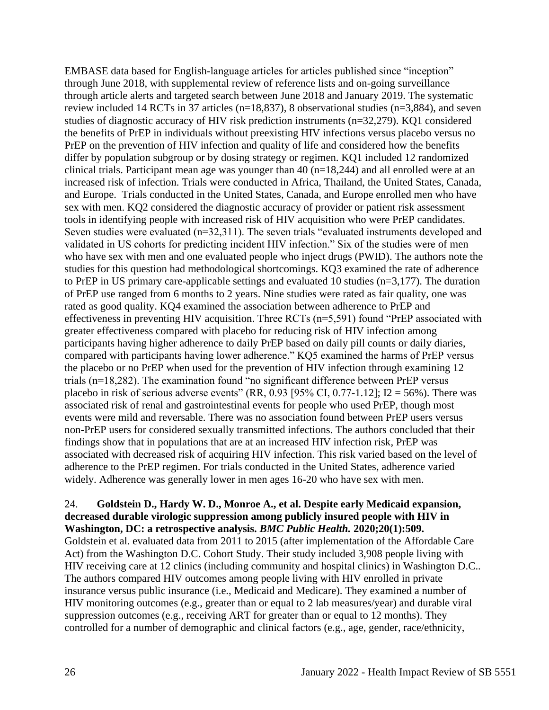EMBASE data based for English-language articles for articles published since "inception" through June 2018, with supplemental review of reference lists and on-going surveillance through article alerts and targeted search between June 2018 and January 2019. The systematic review included 14 RCTs in 37 articles (n=18,837), 8 observational studies (n=3,884), and seven studies of diagnostic accuracy of HIV risk prediction instruments (n=32,279). KQ1 considered the benefits of PrEP in individuals without preexisting HIV infections versus placebo versus no PrEP on the prevention of HIV infection and quality of life and considered how the benefits differ by population subgroup or by dosing strategy or regimen. KQ1 included 12 randomized clinical trials. Participant mean age was younger than 40 (n=18,244) and all enrolled were at an increased risk of infection. Trials were conducted in Africa, Thailand, the United States, Canada, and Europe. Trials conducted in the United States, Canada, and Europe enrolled men who have sex with men. KQ2 considered the diagnostic accuracy of provider or patient risk assessment tools in identifying people with increased risk of HIV acquisition who were PrEP candidates. Seven studies were evaluated (n=32,311). The seven trials "evaluated instruments developed and validated in US cohorts for predicting incident HIV infection." Six of the studies were of men who have sex with men and one evaluated people who inject drugs (PWID). The authors note the studies for this question had methodological shortcomings. KQ3 examined the rate of adherence to PrEP in US primary care-applicable settings and evaluated 10 studies (n=3,177). The duration of PrEP use ranged from 6 months to 2 years. Nine studies were rated as fair quality, one was rated as good quality. KQ4 examined the association between adherence to PrEP and effectiveness in preventing HIV acquisition. Three RCTs (n=5,591) found "PrEP associated with greater effectiveness compared with placebo for reducing risk of HIV infection among participants having higher adherence to daily PrEP based on daily pill counts or daily diaries, compared with participants having lower adherence." KQ5 examined the harms of PrEP versus the placebo or no PrEP when used for the prevention of HIV infection through examining 12 trials (n=18,282). The examination found "no significant difference between PrEP versus placebo in risk of serious adverse events" (RR, 0.93 [95% CI, 0.77-1.12]; I2 = 56%). There was associated risk of renal and gastrointestinal events for people who used PrEP, though most events were mild and reversable. There was no association found between PrEP users versus non-PrEP users for considered sexually transmitted infections. The authors concluded that their findings show that in populations that are at an increased HIV infection risk, PrEP was associated with decreased risk of acquiring HIV infection. This risk varied based on the level of adherence to the PrEP regimen. For trials conducted in the United States, adherence varied widely. Adherence was generally lower in men ages 16-20 who have sex with men.

# 24. **Goldstein D., Hardy W. D., Monroe A., et al. Despite early Medicaid expansion, decreased durable virologic suppression among publicly insured people with HIV in Washington, DC: a retrospective analysis.** *BMC Public Health.* **2020;20(1):509.**

Goldstein et al. evaluated data from 2011 to 2015 (after implementation of the Affordable Care Act) from the Washington D.C. Cohort Study. Their study included 3,908 people living with HIV receiving care at 12 clinics (including community and hospital clinics) in Washington D.C.. The authors compared HIV outcomes among people living with HIV enrolled in private insurance versus public insurance (i.e., Medicaid and Medicare). They examined a number of HIV monitoring outcomes (e.g., greater than or equal to 2 lab measures/year) and durable viral suppression outcomes (e.g., receiving ART for greater than or equal to 12 months). They controlled for a number of demographic and clinical factors (e.g., age, gender, race/ethnicity,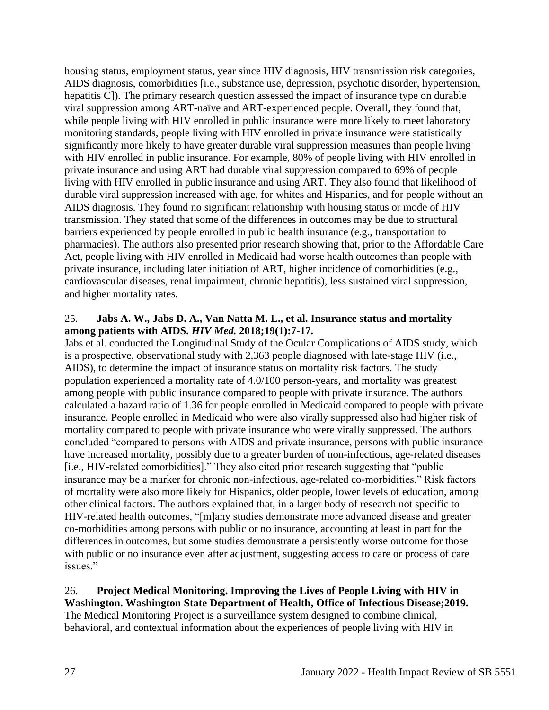housing status, employment status, year since HIV diagnosis, HIV transmission risk categories, AIDS diagnosis, comorbidities [i.e., substance use, depression, psychotic disorder, hypertension, hepatitis C]). The primary research question assessed the impact of insurance type on durable viral suppression among ART-naïve and ART-experienced people. Overall, they found that, while people living with HIV enrolled in public insurance were more likely to meet laboratory monitoring standards, people living with HIV enrolled in private insurance were statistically significantly more likely to have greater durable viral suppression measures than people living with HIV enrolled in public insurance. For example, 80% of people living with HIV enrolled in private insurance and using ART had durable viral suppression compared to 69% of people living with HIV enrolled in public insurance and using ART. They also found that likelihood of durable viral suppression increased with age, for whites and Hispanics, and for people without an AIDS diagnosis. They found no significant relationship with housing status or mode of HIV transmission. They stated that some of the differences in outcomes may be due to structural barriers experienced by people enrolled in public health insurance (e.g., transportation to pharmacies). The authors also presented prior research showing that, prior to the Affordable Care Act, people living with HIV enrolled in Medicaid had worse health outcomes than people with private insurance, including later initiation of ART, higher incidence of comorbidities (e.g., cardiovascular diseases, renal impairment, chronic hepatitis), less sustained viral suppression, and higher mortality rates.

#### 25. **Jabs A. W., Jabs D. A., Van Natta M. L., et al. Insurance status and mortality among patients with AIDS.** *HIV Med.* **2018;19(1):7-17.**

Jabs et al. conducted the Longitudinal Study of the Ocular Complications of AIDS study, which is a prospective, observational study with 2,363 people diagnosed with late-stage HIV (i.e., AIDS), to determine the impact of insurance status on mortality risk factors. The study population experienced a mortality rate of 4.0/100 person-years, and mortality was greatest among people with public insurance compared to people with private insurance. The authors calculated a hazard ratio of 1.36 for people enrolled in Medicaid compared to people with private insurance. People enrolled in Medicaid who were also virally suppressed also had higher risk of mortality compared to people with private insurance who were virally suppressed. The authors concluded "compared to persons with AIDS and private insurance, persons with public insurance have increased mortality, possibly due to a greater burden of non-infectious, age-related diseases [i.e., HIV-related comorbidities]." They also cited prior research suggesting that "public insurance may be a marker for chronic non-infectious, age-related co-morbidities." Risk factors of mortality were also more likely for Hispanics, older people, lower levels of education, among other clinical factors. The authors explained that, in a larger body of research not specific to HIV-related health outcomes, "[m]any studies demonstrate more advanced disease and greater co-morbidities among persons with public or no insurance, accounting at least in part for the differences in outcomes, but some studies demonstrate a persistently worse outcome for those with public or no insurance even after adjustment, suggesting access to care or process of care issues."

# 26. **Project Medical Monitoring. Improving the Lives of People Living with HIV in**

**Washington. Washington State Department of Health, Office of Infectious Disease;2019.** The Medical Monitoring Project is a surveillance system designed to combine clinical, behavioral, and contextual information about the experiences of people living with HIV in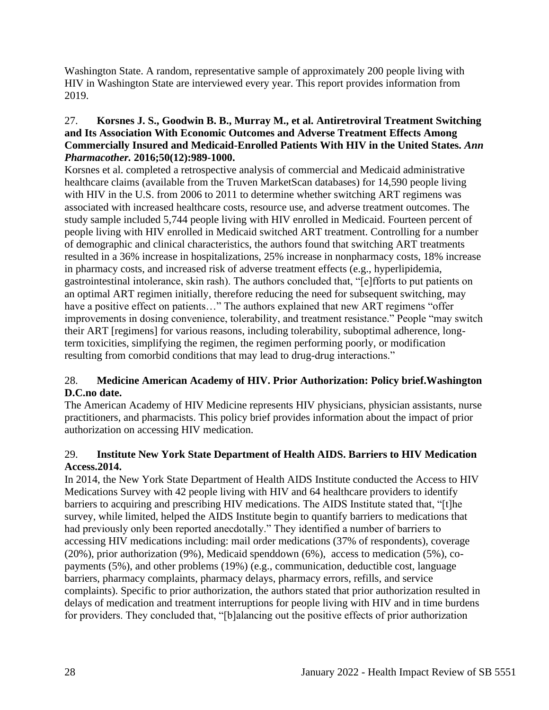Washington State. A random, representative sample of approximately 200 people living with HIV in Washington State are interviewed every year. This report provides information from 2019.

#### 27. **Korsnes J. S., Goodwin B. B., Murray M., et al. Antiretroviral Treatment Switching and Its Association With Economic Outcomes and Adverse Treatment Effects Among Commercially Insured and Medicaid-Enrolled Patients With HIV in the United States.** *Ann Pharmacother.* **2016;50(12):989-1000.**

Korsnes et al. completed a retrospective analysis of commercial and Medicaid administrative healthcare claims (available from the Truven MarketScan databases) for 14,590 people living with HIV in the U.S. from 2006 to 2011 to determine whether switching ART regimens was associated with increased healthcare costs, resource use, and adverse treatment outcomes. The study sample included 5,744 people living with HIV enrolled in Medicaid. Fourteen percent of people living with HIV enrolled in Medicaid switched ART treatment. Controlling for a number of demographic and clinical characteristics, the authors found that switching ART treatments resulted in a 36% increase in hospitalizations, 25% increase in nonpharmacy costs, 18% increase in pharmacy costs, and increased risk of adverse treatment effects (e.g., hyperlipidemia, gastrointestinal intolerance, skin rash). The authors concluded that, "[e]fforts to put patients on an optimal ART regimen initially, therefore reducing the need for subsequent switching, may have a positive effect on patients…" The authors explained that new ART regimens "offer improvements in dosing convenience, tolerability, and treatment resistance." People "may switch their ART [regimens] for various reasons, including tolerability, suboptimal adherence, longterm toxicities, simplifying the regimen, the regimen performing poorly, or modification resulting from comorbid conditions that may lead to drug-drug interactions."

# 28. **Medicine American Academy of HIV. Prior Authorization: Policy brief.Washington D.C.no date.**

The American Academy of HIV Medicine represents HIV physicians, physician assistants, nurse practitioners, and pharmacists. This policy brief provides information about the impact of prior authorization on accessing HIV medication.

# 29. **Institute New York State Department of Health AIDS. Barriers to HIV Medication Access.2014.**

In 2014, the New York State Department of Health AIDS Institute conducted the Access to HIV Medications Survey with 42 people living with HIV and 64 healthcare providers to identify barriers to acquiring and prescribing HIV medications. The AIDS Institute stated that, "[t]he survey, while limited, helped the AIDS Institute begin to quantify barriers to medications that had previously only been reported anecdotally." They identified a number of barriers to accessing HIV medications including: mail order medications (37% of respondents), coverage (20%), prior authorization (9%), Medicaid spenddown (6%), access to medication (5%), copayments (5%), and other problems (19%) (e.g., communication, deductible cost, language barriers, pharmacy complaints, pharmacy delays, pharmacy errors, refills, and service complaints). Specific to prior authorization, the authors stated that prior authorization resulted in delays of medication and treatment interruptions for people living with HIV and in time burdens for providers. They concluded that, "[b]alancing out the positive effects of prior authorization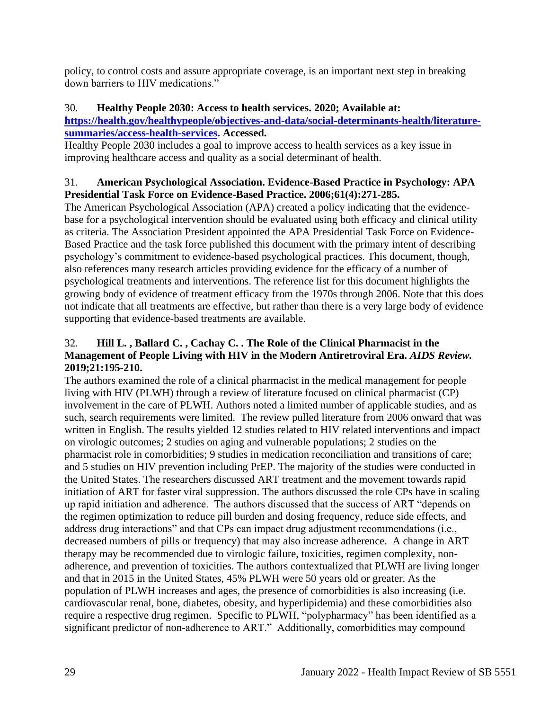policy, to control costs and assure appropriate coverage, is an important next step in breaking down barriers to HIV medications."

# 30. **Healthy People 2030: Access to health services. 2020; Available at:**

# **[https://health.gov/healthypeople/objectives-and-data/social-determinants-health/literature](https://health.gov/healthypeople/objectives-and-data/social-determinants-health/literature-summaries/access-health-services)[summaries/access-health-services.](https://health.gov/healthypeople/objectives-and-data/social-determinants-health/literature-summaries/access-health-services) Accessed.**

Healthy People 2030 includes a goal to improve access to health services as a key issue in improving healthcare access and quality as a social determinant of health.

# 31. **American Psychological Association. Evidence-Based Practice in Psychology: APA Presidential Task Force on Evidence-Based Practice. 2006;61(4):271-285.**

The American Psychological Association (APA) created a policy indicating that the evidencebase for a psychological intervention should be evaluated using both efficacy and clinical utility as criteria. The Association President appointed the APA Presidential Task Force on Evidence-Based Practice and the task force published this document with the primary intent of describing psychology's commitment to evidence-based psychological practices. This document, though, also references many research articles providing evidence for the efficacy of a number of psychological treatments and interventions. The reference list for this document highlights the growing body of evidence of treatment efficacy from the 1970s through 2006. Note that this does not indicate that all treatments are effective, but rather than there is a very large body of evidence supporting that evidence-based treatments are available.

# 32. **Hill L. , Ballard C. , Cachay C. . The Role of the Clinical Pharmacist in the Management of People Living with HIV in the Modern Antiretroviral Era.** *AIDS Review.*  **2019;21:195-210.**

The authors examined the role of a clinical pharmacist in the medical management for people living with HIV (PLWH) through a review of literature focused on clinical pharmacist (CP) involvement in the care of PLWH. Authors noted a limited number of applicable studies, and as such, search requirements were limited. The review pulled literature from 2006 onward that was written in English. The results yielded 12 studies related to HIV related interventions and impact on virologic outcomes; 2 studies on aging and vulnerable populations; 2 studies on the pharmacist role in comorbidities; 9 studies in medication reconciliation and transitions of care; and 5 studies on HIV prevention including PrEP. The majority of the studies were conducted in the United States. The researchers discussed ART treatment and the movement towards rapid initiation of ART for faster viral suppression. The authors discussed the role CPs have in scaling up rapid initiation and adherence. The authors discussed that the success of ART "depends on the regimen optimization to reduce pill burden and dosing frequency, reduce side effects, and address drug interactions" and that CPs can impact drug adjustment recommendations (i.e., decreased numbers of pills or frequency) that may also increase adherence. A change in ART therapy may be recommended due to virologic failure, toxicities, regimen complexity, nonadherence, and prevention of toxicities. The authors contextualized that PLWH are living longer and that in 2015 in the United States, 45% PLWH were 50 years old or greater. As the population of PLWH increases and ages, the presence of comorbidities is also increasing (i.e. cardiovascular renal, bone, diabetes, obesity, and hyperlipidemia) and these comorbidities also require a respective drug regimen. Specific to PLWH, "polypharmacy" has been identified as a significant predictor of non-adherence to ART." Additionally, comorbidities may compound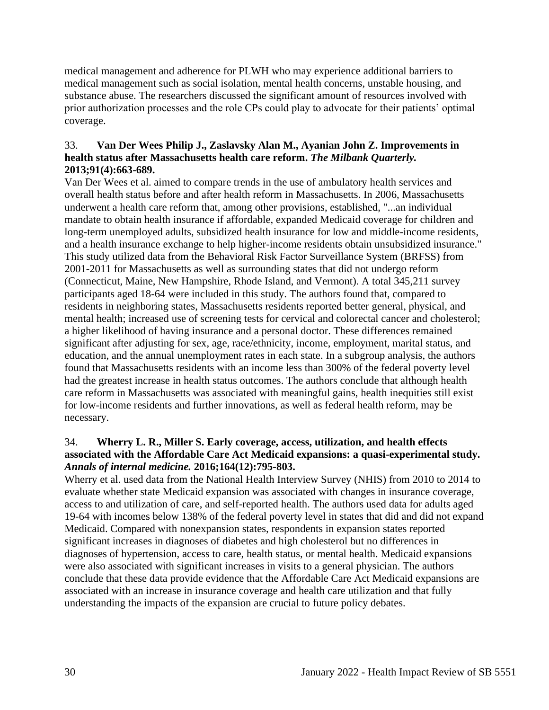medical management and adherence for PLWH who may experience additional barriers to medical management such as social isolation, mental health concerns, unstable housing, and substance abuse. The researchers discussed the significant amount of resources involved with prior authorization processes and the role CPs could play to advocate for their patients' optimal coverage.

## 33. **Van Der Wees Philip J., Zaslavsky Alan M., Ayanian John Z. Improvements in health status after Massachusetts health care reform.** *The Milbank Quarterly.*  **2013;91(4):663-689.**

Van Der Wees et al. aimed to compare trends in the use of ambulatory health services and overall health status before and after health reform in Massachusetts. In 2006, Massachusetts underwent a health care reform that, among other provisions, established, "...an individual mandate to obtain health insurance if affordable, expanded Medicaid coverage for children and long-term unemployed adults, subsidized health insurance for low and middle-income residents, and a health insurance exchange to help higher-income residents obtain unsubsidized insurance." This study utilized data from the Behavioral Risk Factor Surveillance System (BRFSS) from 2001-2011 for Massachusetts as well as surrounding states that did not undergo reform (Connecticut, Maine, New Hampshire, Rhode Island, and Vermont). A total 345,211 survey participants aged 18-64 were included in this study. The authors found that, compared to residents in neighboring states, Massachusetts residents reported better general, physical, and mental health; increased use of screening tests for cervical and colorectal cancer and cholesterol; a higher likelihood of having insurance and a personal doctor. These differences remained significant after adjusting for sex, age, race/ethnicity, income, employment, marital status, and education, and the annual unemployment rates in each state. In a subgroup analysis, the authors found that Massachusetts residents with an income less than 300% of the federal poverty level had the greatest increase in health status outcomes. The authors conclude that although health care reform in Massachusetts was associated with meaningful gains, health inequities still exist for low-income residents and further innovations, as well as federal health reform, may be necessary.

## 34. **Wherry L. R., Miller S. Early coverage, access, utilization, and health effects associated with the Affordable Care Act Medicaid expansions: a quasi-experimental study.**  *Annals of internal medicine.* **2016;164(12):795-803.**

Wherry et al. used data from the National Health Interview Survey (NHIS) from 2010 to 2014 to evaluate whether state Medicaid expansion was associated with changes in insurance coverage, access to and utilization of care, and self-reported health. The authors used data for adults aged 19-64 with incomes below 138% of the federal poverty level in states that did and did not expand Medicaid. Compared with nonexpansion states, respondents in expansion states reported significant increases in diagnoses of diabetes and high cholesterol but no differences in diagnoses of hypertension, access to care, health status, or mental health. Medicaid expansions were also associated with significant increases in visits to a general physician. The authors conclude that these data provide evidence that the Affordable Care Act Medicaid expansions are associated with an increase in insurance coverage and health care utilization and that fully understanding the impacts of the expansion are crucial to future policy debates.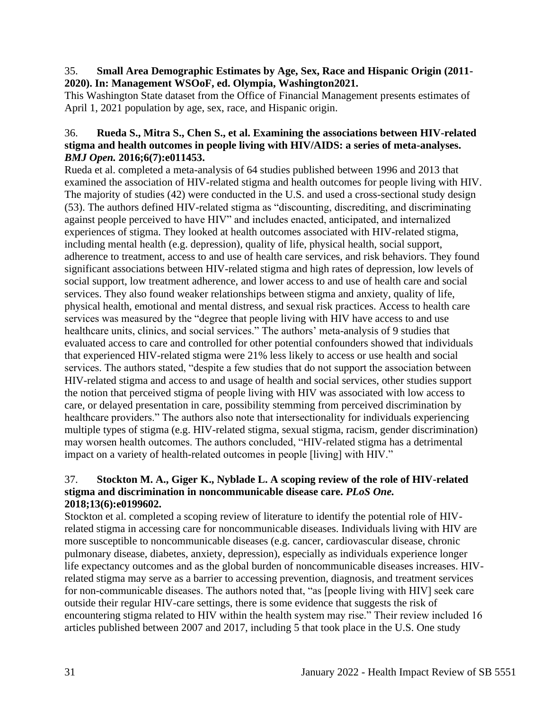#### 35. **Small Area Demographic Estimates by Age, Sex, Race and Hispanic Origin (2011- 2020). In: Management WSOoF, ed. Olympia, Washington2021.**

This Washington State dataset from the Office of Financial Management presents estimates of April 1, 2021 population by age, sex, race, and Hispanic origin.

#### 36. **Rueda S., Mitra S., Chen S., et al. Examining the associations between HIV-related stigma and health outcomes in people living with HIV/AIDS: a series of meta-analyses.**  *BMJ Open.* **2016;6(7):e011453.**

Rueda et al. completed a meta-analysis of 64 studies published between 1996 and 2013 that examined the association of HIV-related stigma and health outcomes for people living with HIV. The majority of studies (42) were conducted in the U.S. and used a cross-sectional study design (53). The authors defined HIV-related stigma as "discounting, discrediting, and discriminating against people perceived to have HIV" and includes enacted, anticipated, and internalized experiences of stigma. They looked at health outcomes associated with HIV-related stigma, including mental health (e.g. depression), quality of life, physical health, social support, adherence to treatment, access to and use of health care services, and risk behaviors. They found significant associations between HIV-related stigma and high rates of depression, low levels of social support, low treatment adherence, and lower access to and use of health care and social services. They also found weaker relationships between stigma and anxiety, quality of life, physical health, emotional and mental distress, and sexual risk practices. Access to health care services was measured by the "degree that people living with HIV have access to and use healthcare units, clinics, and social services." The authors' meta-analysis of 9 studies that evaluated access to care and controlled for other potential confounders showed that individuals that experienced HIV-related stigma were 21% less likely to access or use health and social services. The authors stated, "despite a few studies that do not support the association between HIV-related stigma and access to and usage of health and social services, other studies support the notion that perceived stigma of people living with HIV was associated with low access to care, or delayed presentation in care, possibility stemming from perceived discrimination by healthcare providers." The authors also note that intersectionality for individuals experiencing multiple types of stigma (e.g. HIV-related stigma, sexual stigma, racism, gender discrimination) may worsen health outcomes. The authors concluded, "HIV-related stigma has a detrimental impact on a variety of health-related outcomes in people [living] with HIV."

## 37. **Stockton M. A., Giger K., Nyblade L. A scoping review of the role of HIV-related stigma and discrimination in noncommunicable disease care.** *PLoS One.*  **2018;13(6):e0199602.**

Stockton et al. completed a scoping review of literature to identify the potential role of HIVrelated stigma in accessing care for noncommunicable diseases. Individuals living with HIV are more susceptible to noncommunicable diseases (e.g. cancer, cardiovascular disease, chronic pulmonary disease, diabetes, anxiety, depression), especially as individuals experience longer life expectancy outcomes and as the global burden of noncommunicable diseases increases. HIVrelated stigma may serve as a barrier to accessing prevention, diagnosis, and treatment services for non-communicable diseases. The authors noted that, "as [people living with HIV] seek care outside their regular HIV-care settings, there is some evidence that suggests the risk of encountering stigma related to HIV within the health system may rise." Their review included 16 articles published between 2007 and 2017, including 5 that took place in the U.S. One study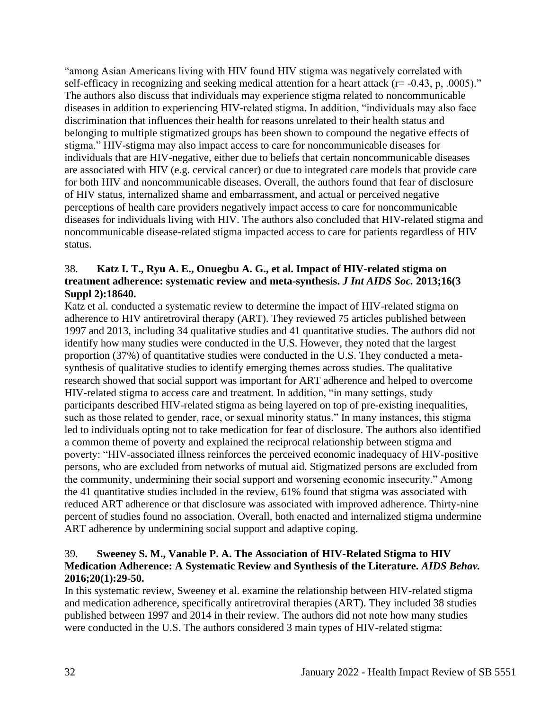"among Asian Americans living with HIV found HIV stigma was negatively correlated with self-efficacy in recognizing and seeking medical attention for a heart attack ( $r = -0.43$ , p, .0005)." The authors also discuss that individuals may experience stigma related to noncommunicable diseases in addition to experiencing HIV-related stigma. In addition, "individuals may also face discrimination that influences their health for reasons unrelated to their health status and belonging to multiple stigmatized groups has been shown to compound the negative effects of stigma." HIV-stigma may also impact access to care for noncommunicable diseases for individuals that are HIV-negative, either due to beliefs that certain noncommunicable diseases are associated with HIV (e.g. cervical cancer) or due to integrated care models that provide care for both HIV and noncommunicable diseases. Overall, the authors found that fear of disclosure of HIV status, internalized shame and embarrassment, and actual or perceived negative perceptions of health care providers negatively impact access to care for noncommunicable diseases for individuals living with HIV. The authors also concluded that HIV-related stigma and noncommunicable disease-related stigma impacted access to care for patients regardless of HIV status.

## 38. **Katz I. T., Ryu A. E., Onuegbu A. G., et al. Impact of HIV-related stigma on treatment adherence: systematic review and meta-synthesis.** *J Int AIDS Soc.* **2013;16(3 Suppl 2):18640.**

Katz et al. conducted a systematic review to determine the impact of HIV-related stigma on adherence to HIV antiretroviral therapy (ART). They reviewed 75 articles published between 1997 and 2013, including 34 qualitative studies and 41 quantitative studies. The authors did not identify how many studies were conducted in the U.S. However, they noted that the largest proportion (37%) of quantitative studies were conducted in the U.S. They conducted a metasynthesis of qualitative studies to identify emerging themes across studies. The qualitative research showed that social support was important for ART adherence and helped to overcome HIV-related stigma to access care and treatment. In addition, "in many settings, study participants described HIV-related stigma as being layered on top of pre-existing inequalities, such as those related to gender, race, or sexual minority status." In many instances, this stigma led to individuals opting not to take medication for fear of disclosure. The authors also identified a common theme of poverty and explained the reciprocal relationship between stigma and poverty: "HIV-associated illness reinforces the perceived economic inadequacy of HIV-positive persons, who are excluded from networks of mutual aid. Stigmatized persons are excluded from the community, undermining their social support and worsening economic insecurity." Among the 41 quantitative studies included in the review, 61% found that stigma was associated with reduced ART adherence or that disclosure was associated with improved adherence. Thirty-nine percent of studies found no association. Overall, both enacted and internalized stigma undermine ART adherence by undermining social support and adaptive coping.

## 39. **Sweeney S. M., Vanable P. A. The Association of HIV-Related Stigma to HIV Medication Adherence: A Systematic Review and Synthesis of the Literature.** *AIDS Behav.*  **2016;20(1):29-50.**

In this systematic review, Sweeney et al. examine the relationship between HIV-related stigma and medication adherence, specifically antiretroviral therapies (ART). They included 38 studies published between 1997 and 2014 in their review. The authors did not note how many studies were conducted in the U.S. The authors considered 3 main types of HIV-related stigma: